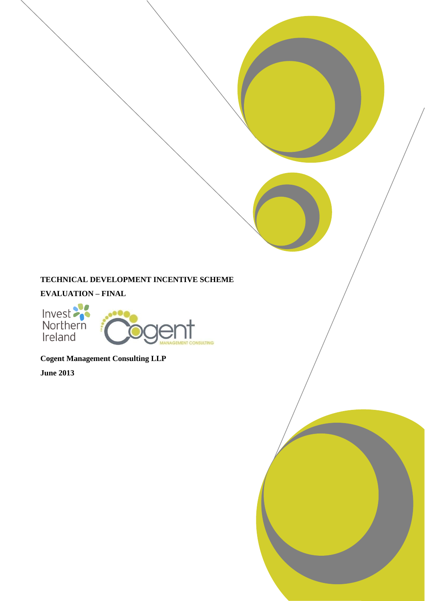# **TECHNICAL DEVELOPMENT INCENTIVE SCHEME**

# **EVALUATION – FINAL**

Invest<br>Northern<br>Ireland



**Cogent Management Consulting LLP**

**June 2013**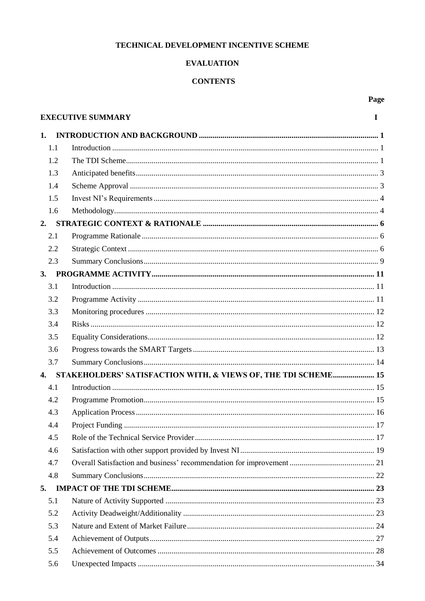## TECHNICAL DEVELOPMENT INCENTIVE SCHEME

# **EVALUATION**

## **CONTENTS**

Page

|              | <b>EXECUTIVE SUMMARY</b>                                       | I |
|--------------|----------------------------------------------------------------|---|
| 1.           |                                                                |   |
| 1.1          |                                                                |   |
| 1.2          |                                                                |   |
| 1.3          |                                                                |   |
| 1.4          |                                                                |   |
| 1.5          |                                                                |   |
| 1.6          |                                                                |   |
| 2.           |                                                                |   |
| 2.1          |                                                                |   |
| 2.2          |                                                                |   |
| 2.3          |                                                                |   |
| 3.           |                                                                |   |
| 3.1          |                                                                |   |
| 3.2          |                                                                |   |
| 3.3          |                                                                |   |
| 3.4          |                                                                |   |
| 3.5          |                                                                |   |
| 3.6          |                                                                |   |
| 3.7          |                                                                |   |
| $\mathbf{4}$ | STAKEHOLDERS' SATISFACTION WITH, & VIEWS OF, THE TDI SCHEME 15 |   |
| 4.1          |                                                                |   |
| 4.2          |                                                                |   |
| 4.3          |                                                                |   |
| 4.4          |                                                                |   |
| 4.5          |                                                                |   |
| 4.6          |                                                                |   |
| 4.7          |                                                                |   |
| 4.8          |                                                                |   |
| 5.           |                                                                |   |
| 5.1          |                                                                |   |
| 5.2          |                                                                |   |
| 5.3          |                                                                |   |
| 5.4          |                                                                |   |
| 5.5          |                                                                |   |
| 5.6          |                                                                |   |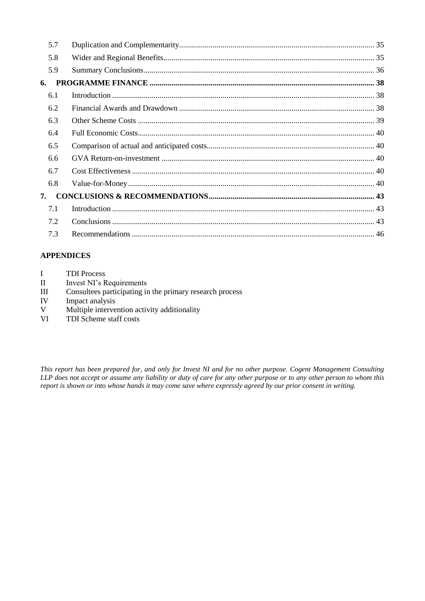| 5.7 |  |
|-----|--|
| 5.8 |  |
| 5.9 |  |
| 6.  |  |
| 6.1 |  |
| 6.2 |  |
| 6.3 |  |
| 6.4 |  |
| 6.5 |  |
| 6.6 |  |
| 6.7 |  |
| 6.8 |  |
| 7.  |  |
| 7.1 |  |
| 7.2 |  |
| 7.3 |  |

# **APPENDICES**

- I TDI Process
- II Invest NI's Requirements<br>III Consultees participating in
- Consultees participating in the primary research process
- IV Impact analysis<br>V Multiple interve
- Multiple intervention activity additionality
- VI TDI Scheme staff costs

*This report has been prepared for, and only for Invest NI and for no other purpose. Cogent Management Consulting LLP does not accept or assume any liability or duty of care for any other purpose or to any other person to whom this report is shown or into whose hands it may come save where expressly agreed by our prior consent in writing.*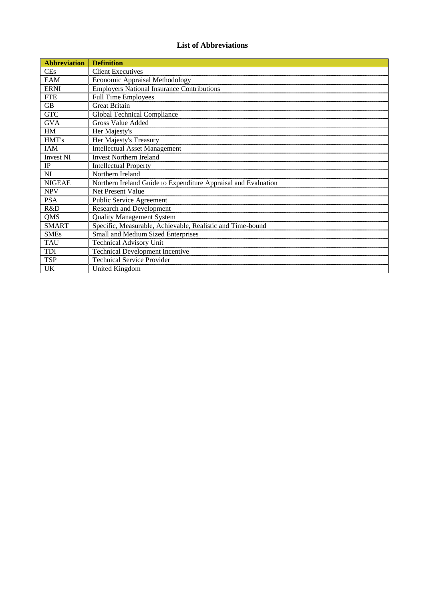## **List of Abbreviations**

| <b>Abbreviation</b> | <b>Definition</b>                                                            |
|---------------------|------------------------------------------------------------------------------|
| <b>CEs</b>          | <b>Client Executives</b>                                                     |
| EAM                 |                                                                              |
| <b>ERNI</b>         | Economic Appraisal Methodology<br>Employers National Insurance Contributions |
| <b>FTE</b>          | Full Time Employees                                                          |
| <b>GB</b>           | <b>Great Britain</b>                                                         |
| <b>GTC</b>          | Global Technical Compliance                                                  |
| <b>GVA</b>          | <b>Gross Value Added</b>                                                     |
| HM                  | Her Majesty's                                                                |
| HMT's               | Her Majesty's Treasury                                                       |
| <b>IAM</b>          | <b>Intellectual Asset Management</b>                                         |
| <b>Invest NI</b>    | <b>Invest Northern Ireland</b>                                               |
| IP                  | <b>Intellectual Property</b>                                                 |
| NI                  | Northern Ireland                                                             |
| <b>NIGEAE</b>       | Northern Ireland Guide to Expenditure Appraisal and Evaluation               |
| <b>NPV</b>          | Net Present Value                                                            |
| <b>PSA</b>          | Public Service Agreement                                                     |
| R&D                 | Research and Development                                                     |
| <b>QMS</b>          | <b>Quality Management System</b>                                             |
| <b>SMART</b>        | Specific, Measurable, Achievable, Realistic and Time-bound                   |
| <b>SMEs</b>         | Small and Medium Sized Enterprises                                           |
| <b>TAU</b>          | <b>Technical Advisory Unit</b>                                               |
| TDI                 | <b>Technical Development Incentive</b>                                       |
| <b>TSP</b>          | <b>Technical Service Provider</b>                                            |
| <b>UK</b>           | United Kingdom                                                               |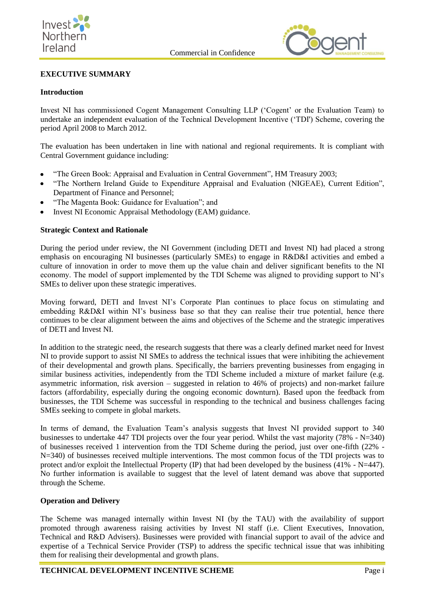



## **EXECUTIVE SUMMARY**

### **Introduction**

Invest NI has commissioned Cogent Management Consulting LLP ('Cogent' or the Evaluation Team) to undertake an independent evaluation of the Technical Development Incentive ('TDI') Scheme, covering the period April 2008 to March 2012.

The evaluation has been undertaken in line with national and regional requirements. It is compliant with Central Government guidance including:

- "The Green Book: Appraisal and Evaluation in Central Government", HM Treasury 2003;
- "The Northern Ireland Guide to Expenditure Appraisal and Evaluation (NIGEAE), Current Edition", Department of Finance and Personnel;
- "The Magenta Book: Guidance for Evaluation"; and
- Invest NI Economic Appraisal Methodology (EAM) guidance.

### **Strategic Context and Rationale**

During the period under review, the NI Government (including DETI and Invest NI) had placed a strong emphasis on encouraging NI businesses (particularly SMEs) to engage in R&D&I activities and embed a culture of innovation in order to move them up the value chain and deliver significant benefits to the NI economy. The model of support implemented by the TDI Scheme was aligned to providing support to NI's SMEs to deliver upon these strategic imperatives.

Moving forward, DETI and Invest NI's Corporate Plan continues to place focus on stimulating and embedding R&D&I within NI's business base so that they can realise their true potential, hence there continues to be clear alignment between the aims and objectives of the Scheme and the strategic imperatives of DETI and Invest NI.

In addition to the strategic need, the research suggests that there was a clearly defined market need for Invest NI to provide support to assist NI SMEs to address the technical issues that were inhibiting the achievement of their developmental and growth plans. Specifically, the barriers preventing businesses from engaging in similar business activities, independently from the TDI Scheme included a mixture of market failure (e.g. asymmetric information, risk aversion – suggested in relation to 46% of projects) and non-market failure factors (affordability, especially during the ongoing economic downturn). Based upon the feedback from businesses, the TDI Scheme was successful in responding to the technical and business challenges facing SMEs seeking to compete in global markets.

In terms of demand, the Evaluation Team's analysis suggests that Invest NI provided support to 340 businesses to undertake 447 TDI projects over the four year period. Whilst the vast majority (78% - N=340) of businesses received 1 intervention from the TDI Scheme during the period, just over one-fifth (22% - N=340) of businesses received multiple interventions. The most common focus of the TDI projects was to protect and/or exploit the Intellectual Property (IP) that had been developed by the business (41% - N=447). No further information is available to suggest that the level of latent demand was above that supported through the Scheme.

### **Operation and Delivery**

The Scheme was managed internally within Invest NI (by the TAU) with the availability of support promoted through awareness raising activities by Invest NI staff (i.e. Client Executives, Innovation, Technical and R&D Advisers). Businesses were provided with financial support to avail of the advice and expertise of a Technical Service Provider (TSP) to address the specific technical issue that was inhibiting them for realising their developmental and growth plans.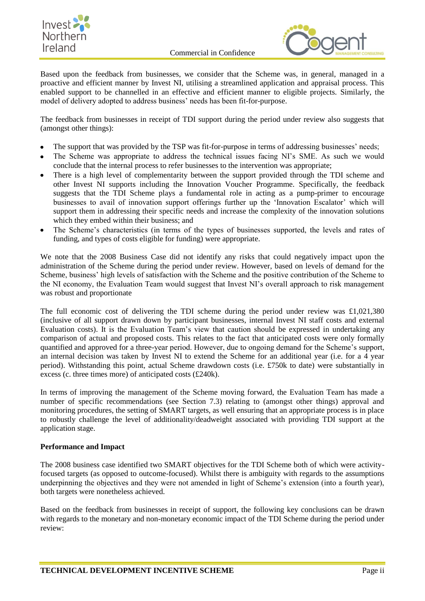



Based upon the feedback from businesses, we consider that the Scheme was, in general, managed in a proactive and efficient manner by Invest NI, utilising a streamlined application and appraisal process. This enabled support to be channelled in an effective and efficient manner to eligible projects. Similarly, the model of delivery adopted to address business' needs has been fit-for-purpose.

The feedback from businesses in receipt of TDI support during the period under review also suggests that (amongst other things):

- The support that was provided by the TSP was fit-for-purpose in terms of addressing businesses' needs;
- The Scheme was appropriate to address the technical issues facing NI's SME. As such we would  $\bullet$ conclude that the internal process to refer businesses to the intervention was appropriate;
- There is a high level of complementarity between the support provided through the TDI scheme and other Invest NI supports including the Innovation Voucher Programme. Specifically, the feedback suggests that the TDI Scheme plays a fundamental role in acting as a pump-primer to encourage businesses to avail of innovation support offerings further up the 'Innovation Escalator' which will support them in addressing their specific needs and increase the complexity of the innovation solutions which they embed within their business; and
- The Scheme's characteristics (in terms of the types of businesses supported, the levels and rates of funding, and types of costs eligible for funding) were appropriate.

We note that the 2008 Business Case did not identify any risks that could negatively impact upon the administration of the Scheme during the period under review. However, based on levels of demand for the Scheme, business' high levels of satisfaction with the Scheme and the positive contribution of the Scheme to the NI economy, the Evaluation Team would suggest that Invest NI's overall approach to risk management was robust and proportionate

The full economic cost of delivering the TDI scheme during the period under review was £1,021,380 (inclusive of all support drawn down by participant businesses, internal Invest NI staff costs and external Evaluation costs). It is the Evaluation Team's view that caution should be expressed in undertaking any comparison of actual and proposed costs. This relates to the fact that anticipated costs were only formally quantified and approved for a three-year period. However, due to ongoing demand for the Scheme's support, an internal decision was taken by Invest NI to extend the Scheme for an additional year (i.e. for a 4 year period). Withstanding this point, actual Scheme drawdown costs (i.e. £750k to date) were substantially in excess (c. three times more) of anticipated costs (£240k).

In terms of improving the management of the Scheme moving forward, the Evaluation Team has made a number of specific recommendations (see Section 7.3) relating to (amongst other things) approval and monitoring procedures, the setting of SMART targets, as well ensuring that an appropriate process is in place to robustly challenge the level of additionality/deadweight associated with providing TDI support at the application stage.

## **Performance and Impact**

The 2008 business case identified two SMART objectives for the TDI Scheme both of which were activityfocused targets (as opposed to outcome-focused). Whilst there is ambiguity with regards to the assumptions underpinning the objectives and they were not amended in light of Scheme's extension (into a fourth year), both targets were nonetheless achieved.

Based on the feedback from businesses in receipt of support, the following key conclusions can be drawn with regards to the monetary and non-monetary economic impact of the TDI Scheme during the period under review: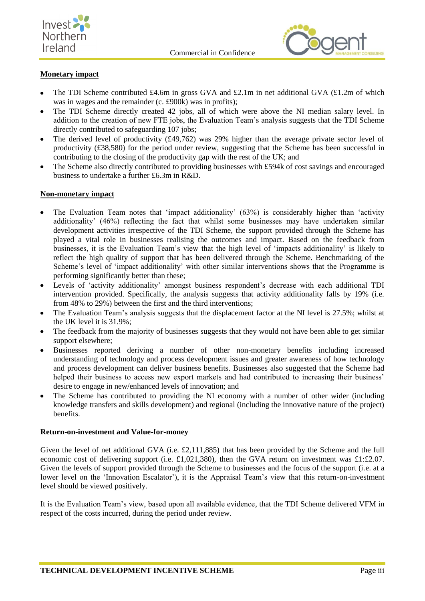





## **Monetary impact**

- The TDI Scheme contributed £4.6m in gross GVA and £2.1m in net additional GVA (£1.2m of which was in wages and the remainder (c. £900k) was in profits);
- The TDI Scheme directly created 42 jobs, all of which were above the NI median salary level. In addition to the creation of new FTE jobs, the Evaluation Team's analysis suggests that the TDI Scheme directly contributed to safeguarding 107 jobs;
- The derived level of productivity (£49,762) was 29% higher than the average private sector level of productivity (£38,580) for the period under review, suggesting that the Scheme has been successful in contributing to the closing of the productivity gap with the rest of the UK; and
- The Scheme also directly contributed to providing businesses with £594k of cost savings and encouraged business to undertake a further £6.3m in R&D.

### **Non-monetary impact**

- The Evaluation Team notes that 'impact additionality' (63%) is considerably higher than 'activity additionality' (46%) reflecting the fact that whilst some businesses may have undertaken similar development activities irrespective of the TDI Scheme, the support provided through the Scheme has played a vital role in businesses realising the outcomes and impact. Based on the feedback from businesses, it is the Evaluation Team's view that the high level of 'impacts additionality' is likely to reflect the high quality of support that has been delivered through the Scheme. Benchmarking of the Scheme's level of 'impact additionality' with other similar interventions shows that the Programme is performing significantly better than these;
- Levels of 'activity additionality' amongst business respondent's decrease with each additional TDI intervention provided. Specifically, the analysis suggests that activity additionality falls by 19% (i.e. from 48% to 29%) between the first and the third interventions;
- The Evaluation Team's analysis suggests that the displacement factor at the NI level is 27.5%; whilst at the UK level it is 31.9%;
- The feedback from the majority of businesses suggests that they would not have been able to get similar support elsewhere;
- Businesses reported deriving a number of other non-monetary benefits including increased understanding of technology and process development issues and greater awareness of how technology and process development can deliver business benefits. Businesses also suggested that the Scheme had helped their business to access new export markets and had contributed to increasing their business' desire to engage in new/enhanced levels of innovation; and
- The Scheme has contributed to providing the NI economy with a number of other wider (including knowledge transfers and skills development) and regional (including the innovative nature of the project) benefits.

### **Return-on-investment and Value-for-money**

Given the level of net additional GVA (i.e. £2,111,885) that has been provided by the Scheme and the full economic cost of delivering support (i.e. £1,021,380), then the GVA return on investment was £1:£2.07. Given the levels of support provided through the Scheme to businesses and the focus of the support (i.e. at a lower level on the 'Innovation Escalator'), it is the Appraisal Team's view that this return-on-investment level should be viewed positively.

It is the Evaluation Team's view, based upon all available evidence, that the TDI Scheme delivered VFM in respect of the costs incurred, during the period under review.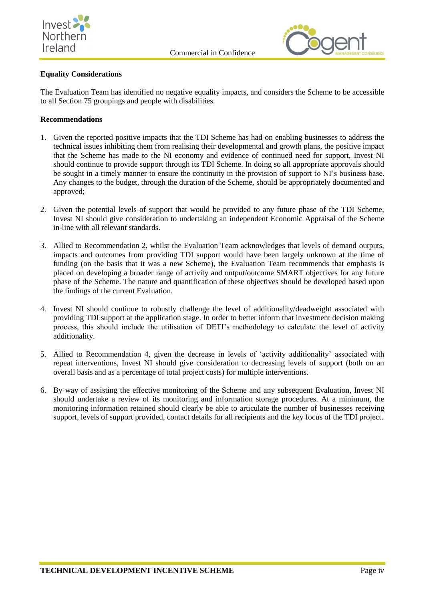



## **Equality Considerations**

The Evaluation Team has identified no negative equality impacts, and considers the Scheme to be accessible to all Section 75 groupings and people with disabilities.

## **Recommendations**

- 1. Given the reported positive impacts that the TDI Scheme has had on enabling businesses to address the technical issues inhibiting them from realising their developmental and growth plans, the positive impact that the Scheme has made to the NI economy and evidence of continued need for support, Invest NI should continue to provide support through its TDI Scheme. In doing so all appropriate approvals should be sought in a timely manner to ensure the continuity in the provision of support to NI's business base. Any changes to the budget, through the duration of the Scheme, should be appropriately documented and approved;
- 2. Given the potential levels of support that would be provided to any future phase of the TDI Scheme, Invest NI should give consideration to undertaking an independent Economic Appraisal of the Scheme in-line with all relevant standards.
- 3. Allied to Recommendation 2, whilst the Evaluation Team acknowledges that levels of demand outputs, impacts and outcomes from providing TDI support would have been largely unknown at the time of funding (on the basis that it was a new Scheme), the Evaluation Team recommends that emphasis is placed on developing a broader range of activity and output/outcome SMART objectives for any future phase of the Scheme. The nature and quantification of these objectives should be developed based upon the findings of the current Evaluation.
- 4. Invest NI should continue to robustly challenge the level of additionality/deadweight associated with providing TDI support at the application stage. In order to better inform that investment decision making process, this should include the utilisation of DETI's methodology to calculate the level of activity additionality.
- 5. Allied to Recommendation 4, given the decrease in levels of 'activity additionality' associated with repeat interventions, Invest NI should give consideration to decreasing levels of support (both on an overall basis and as a percentage of total project costs) for multiple interventions.
- 6. By way of assisting the effective monitoring of the Scheme and any subsequent Evaluation, Invest NI should undertake a review of its monitoring and information storage procedures. At a minimum, the monitoring information retained should clearly be able to articulate the number of businesses receiving support, levels of support provided, contact details for all recipients and the key focus of the TDI project.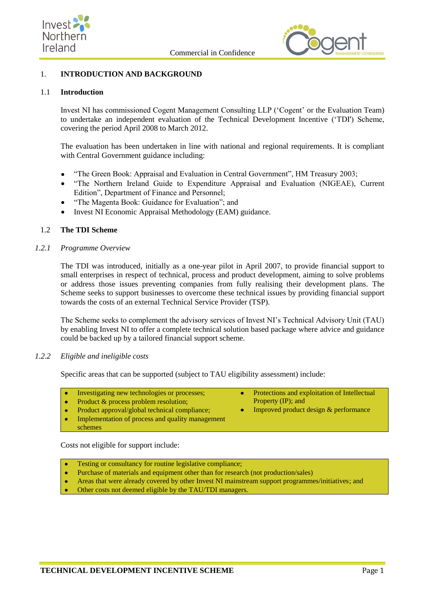



## <span id="page-8-0"></span>1. **INTRODUCTION AND BACKGROUND**

#### <span id="page-8-1"></span>1.1 **Introduction**

Invest NI has commissioned Cogent Management Consulting LLP ('Cogent' or the Evaluation Team) to undertake an independent evaluation of the Technical Development Incentive ('TDI') Scheme, covering the period April 2008 to March 2012.

The evaluation has been undertaken in line with national and regional requirements. It is compliant with Central Government guidance including:

- "The Green Book: Appraisal and Evaluation in Central Government", HM Treasury 2003;
- "The Northern Ireland Guide to Expenditure Appraisal and Evaluation (NIGEAE), Current Edition", Department of Finance and Personnel;
- "The Magenta Book: Guidance for Evaluation"; and
- Invest NI Economic Appraisal Methodology (EAM) guidance.

### <span id="page-8-2"></span>1.2 **The TDI Scheme**

#### *1.2.1 Programme Overview*

The TDI was introduced, initially as a one-year pilot in April 2007, to provide financial support to small enterprises in respect of technical, process and product development, aiming to solve problems or address those issues preventing companies from fully realising their development plans. The Scheme seeks to support businesses to overcome these technical issues by providing financial support towards the costs of an external Technical Service Provider (TSP).

The Scheme seeks to complement the advisory services of Invest NI's Technical Advisory Unit (TAU) by enabling Invest NI to offer a complete technical solution based package where advice and guidance could be backed up by a tailored financial support scheme.

### *1.2.2 Eligible and ineligible costs*

Specific areas that can be supported (subject to TAU eligibility assessment) include:

Protections and exploitation of Intellectual Investigating new technologies or processes;  $\bullet$  $\bullet$ Property (IP); and

 $\bullet$ 

- Product & process problem resolution;  $\bullet$
- Product approval/global technical compliance; k.
- Implementation of process and quality management schemes

Costs not eligible for support include:

- Testing or consultancy for routine legislative compliance;
- Purchase of materials and equipment other than for research (not production/sales)
- $\bullet$ Areas that were already covered by other Invest NI mainstream support programmes/initiatives; and
- $\bullet$ Other costs not deemed eligible by the TAU/TDI managers.

Improved product design & performance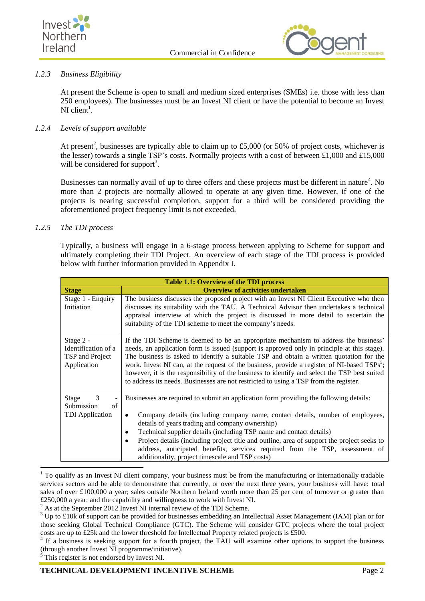



## *1.2.3 Business Eligibility*

At present the Scheme is open to small and medium sized enterprises (SMEs) i.e. those with less than 250 employees). The businesses must be an Invest NI client or have the potential to become an Invest NI client<sup>1</sup>.

## *1.2.4 Levels of support available*

At present<sup>2</sup>, businesses are typically able to claim up to £5,000 (or 50% of project costs, whichever is the lesser) towards a single TSP's costs. Normally projects with a cost of between £1,000 and £15,000 will be considered for support<sup>3</sup>.

Businesses can normally avail of up to three offers and these projects must be different in nature<sup>4</sup>. No more than 2 projects are normally allowed to operate at any given time. However, if one of the projects is nearing successful completion, support for a third will be considered providing the aforementioned project frequency limit is not exceeded.

## *1.2.5 The TDI process*

Typically, a business will engage in a 6-stage process between applying to Scheme for support and ultimately completing their TDI Project. An overview of each stage of the TDI process is provided below with further information provided in Appendix I.

| <b>Table 1.1: Overview of the TDI process</b>                      |                                                                                                                                                                                                                                                                                                                                                                                                                                                                                                                                                                                   |  |  |  |
|--------------------------------------------------------------------|-----------------------------------------------------------------------------------------------------------------------------------------------------------------------------------------------------------------------------------------------------------------------------------------------------------------------------------------------------------------------------------------------------------------------------------------------------------------------------------------------------------------------------------------------------------------------------------|--|--|--|
| <b>Stage</b>                                                       | <b>Overview of activities undertaken</b>                                                                                                                                                                                                                                                                                                                                                                                                                                                                                                                                          |  |  |  |
| Stage 1 - Enquiry<br>Initiation                                    | The business discusses the proposed project with an Invest NI Client Executive who then<br>discusses its suitability with the TAU. A Technical Advisor then undertakes a technical<br>appraisal interview at which the project is discussed in more detail to ascertain the<br>suitability of the TDI scheme to meet the company's needs.                                                                                                                                                                                                                                         |  |  |  |
| Stage 2 -<br>Identification of a<br>TSP and Project<br>Application | If the TDI Scheme is deemed to be an appropriate mechanism to address the business'<br>needs, an application form is issued (support is approved only in principle at this stage).<br>The business is asked to identify a suitable TSP and obtain a written quotation for the<br>work. Invest NI can, at the request of the business, provide a register of NI-based TSPs <sup>5</sup> ;<br>however, it is the responsibility of the business to identify and select the TSP best suited<br>to address its needs. Businesses are not restricted to using a TSP from the register. |  |  |  |
| $\mathcal{R}$<br>Stage<br>Submission<br>of                         | Businesses are required to submit an application form providing the following details:                                                                                                                                                                                                                                                                                                                                                                                                                                                                                            |  |  |  |
| <b>TDI</b> Application                                             | Company details (including company name, contact details, number of employees,<br>٠<br>details of years trading and company ownership)<br>Technical supplier details (including TSP name and contact details)<br>٠                                                                                                                                                                                                                                                                                                                                                                |  |  |  |
|                                                                    | Project details (including project title and outline, area of support the project seeks to<br>address, anticipated benefits, services required from the TSP, assessment of<br>additionality, project timescale and TSP costs)                                                                                                                                                                                                                                                                                                                                                     |  |  |  |

 $1$  To qualify as an Invest NI client company, your business must be from the manufacturing or internationally tradable services sectors and be able to demonstrate that currently, or over the next three years, your business will have: total sales of over £100,000 a year; sales outside Northern Ireland worth more than 25 per cent of turnover or greater than £250,000 a year; and the capability and willingness to work with Invest NI.

-

<sup>&</sup>lt;sup>2</sup> As at the September 2012 Invest NI internal review of the TDI Scheme.

<sup>&</sup>lt;sup>3</sup> Up to £10k of support can be provided for businesses embedding an Intellectual Asset Management (IAM) plan or for those seeking Global Technical Compliance (GTC). The Scheme will consider GTC projects where the total project costs are up to £25k and the lower threshold for Intellectual Property related projects is £500.

<sup>&</sup>lt;sup>4</sup> If a business is seeking support for a fourth project, the TAU will examine other options to support the business (through another Invest NI programme/initiative).

This register is not endorsed by Invest NI.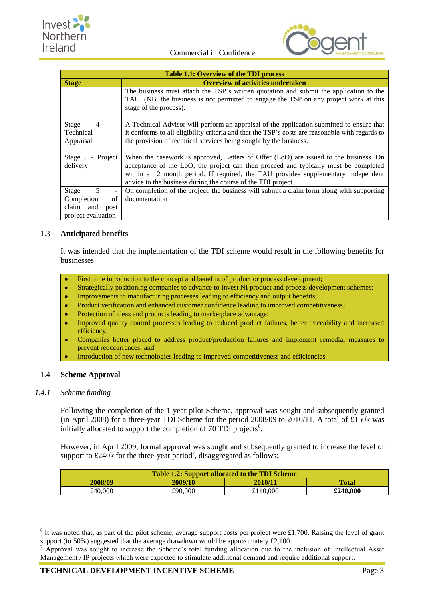



| <b>Table 1.1: Overview of the TDI process</b>                                                             |                                                                                                                                                                                                                                                                                                                                  |  |  |
|-----------------------------------------------------------------------------------------------------------|----------------------------------------------------------------------------------------------------------------------------------------------------------------------------------------------------------------------------------------------------------------------------------------------------------------------------------|--|--|
| <b>Stage</b>                                                                                              | <b>Overview of activities undertaken</b>                                                                                                                                                                                                                                                                                         |  |  |
|                                                                                                           | The business must attach the TSP's written quotation and submit the application to the<br>TAU. (NB. the business is not permitted to engage the TSP on any project work at this                                                                                                                                                  |  |  |
|                                                                                                           | stage of the process).                                                                                                                                                                                                                                                                                                           |  |  |
| Stage<br>4<br>$\overline{\phantom{a}}$<br>Technical<br>Appraisal                                          | A Technical Advisor will perform an appraisal of the application submitted to ensure that<br>it conforms to all eligibility criteria and that the TSP's costs are reasonable with regards to<br>the provision of technical services being sought by the business.                                                                |  |  |
| Stage 5 - Project<br>delivery                                                                             | When the casework is approved, Letters of Offer (LoO) are issued to the business. On<br>acceptance of the LoO, the project can then proceed and typically must be completed<br>within a 12 month period. If required, the TAU provides supplementary independent<br>advice to the business during the course of the TDI project. |  |  |
| 5<br>Stage<br>$\qquad \qquad \blacksquare$<br>Completion<br>of<br>claim and<br>post<br>project evaluation | On completion of the project, the business will submit a claim form along with supporting<br>documentation                                                                                                                                                                                                                       |  |  |

## <span id="page-10-0"></span>1.3 **Anticipated benefits**

It was intended that the implementation of the TDI scheme would result in the following benefits for businesses:

- First time introduction to the concept and benefits of product or process development;  $\bullet$
- Strategically positioning companies to advance to Invest NI product and process development schemes;
- Improvements to manufacturing processes leading to efficiency and output benefits;  $\bullet$
- $\bullet$ Product verification and enhanced customer confidence leading to improved competitiveness;
- Protection of ideas and products leading to marketplace advantage;  $\overline{\phantom{a}}$
- $\bullet$ Improved quality control processes leading to reduced product failures, better traceability and increased efficiency;
- Companies better placed to address product/production failures and implement remedial measures to × prevent reoccurrences; and
- Introduction of new technologies leading to improved competitiveness and efficiencies

### <span id="page-10-1"></span>1.4 **Scheme Approval**

### *1.4.1 Scheme funding*

1

Following the completion of the 1 year pilot Scheme, approval was sought and subsequently granted (in April 2008) for a three-year TDI Scheme for the period 2008/09 to 2010/11. A total of £150k was initially allocated to support the completion of 70 TDI projects<sup>6</sup>.

However, in April 2009, formal approval was sought and subsequently granted to increase the level of support to £240 $k$  for the three-year period<sup>7</sup>, disaggregated as follows:

| <b>Table 1.2: Support allocated to the TDI Scheme</b> |         |          |              |
|-------------------------------------------------------|---------|----------|--------------|
| 2008/09                                               | 2009/10 | 2010/11  | <b>Total</b> |
| £40,000                                               | £90.000 | £110,000 | £240,000     |

 $6$  It was noted that, as part of the pilot scheme, average support costs per project were £1,700. Raising the level of grant support (to 50%) suggested that the average drawdown would be approximately £2,100.

<sup>&</sup>lt;sup>7</sup> Approval was sought to increase the Scheme's total funding allocation due to the inclusion of Intellectual Asset Management / IP projects which were expected to stimulate additional demand and require additional support.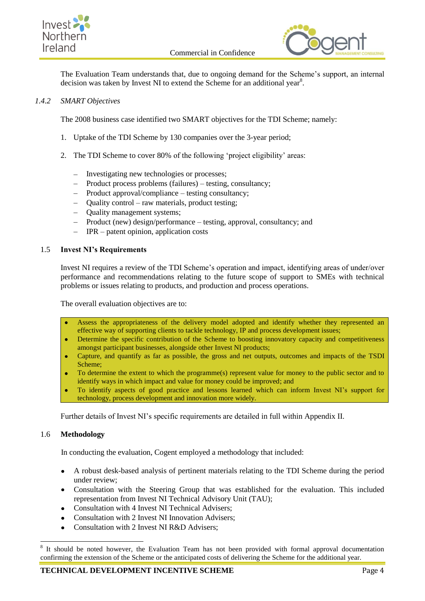



The Evaluation Team understands that, due to ongoing demand for the Scheme's support, an internal decision was taken by Invest NI to extend the Scheme for an additional year<sup>8</sup>.

## *1.4.2 SMART Objectives*

The 2008 business case identified two SMART objectives for the TDI Scheme; namely:

- 1. Uptake of the TDI Scheme by 130 companies over the 3-year period;
- 2. The TDI Scheme to cover 80% of the following 'project eligibility' areas:
	- Investigating new technologies or processes;
	- Product process problems (failures) testing, consultancy;
	- Product approval/compliance testing consultancy;
	- Quality control raw materials, product testing;
	- Ouality management systems;
	- Product (new) design/performance testing, approval, consultancy; and
	- IPR patent opinion, application costs

### <span id="page-11-0"></span>1.5 **Invest NI's Requirements**

Invest NI requires a review of the TDI Scheme's operation and impact, identifying areas of under/over performance and recommendations relating to the future scope of support to SMEs with technical problems or issues relating to products, and production and process operations.

The overall evaluation objectives are to:

- Assess the appropriateness of the delivery model adopted and identify whether they represented an effective way of supporting clients to tackle technology, IP and process development issues;
- Determine the specific contribution of the Scheme to boosting innovatory capacity and competitiveness  $\bullet$ amongst participant businesses, alongside other Invest NI products;
- Capture, and quantify as far as possible, the gross and net outputs, outcomes and impacts of the TSDI  $\bullet$ Scheme;
- To determine the extent to which the programme(s) represent value for money to the public sector and to  $\bullet$ identify ways in which impact and value for money could be improved; and
- To identify aspects of good practice and lessons learned which can inform Invest NI's support for  $\bullet$ technology, process development and innovation more widely.

Further details of Invest NI's specific requirements are detailed in full within Appendix II.

### <span id="page-11-1"></span>1.6 **Methodology**

-

In conducting the evaluation, Cogent employed a methodology that included:

- A robust desk-based analysis of pertinent materials relating to the TDI Scheme during the period  $\bullet$ under review;
- Consultation with the Steering Group that was established for the evaluation. This included representation from Invest NI Technical Advisory Unit (TAU);
- Consultation with 4 Invest NI Technical Advisers;
- Consultation with 2 Invest NI Innovation Advisers;
- Consultation with 2 Invest NI R&D Advisers;

<sup>8</sup> It should be noted however, the Evaluation Team has not been provided with formal approval documentation confirming the extension of the Scheme or the anticipated costs of delivering the Scheme for the additional year.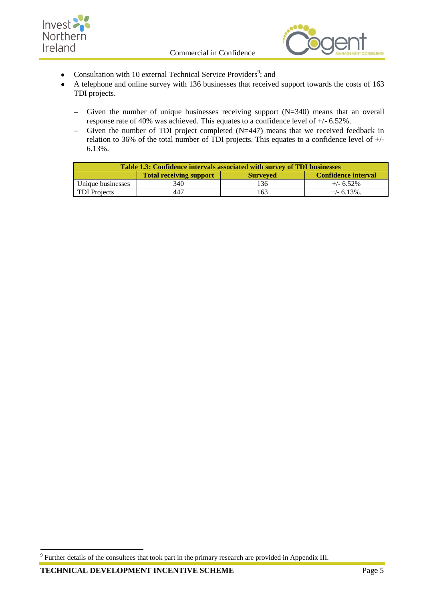



- Consultation with 10 external Technical Service Providers<sup>9</sup>; and  $\bullet$
- A telephone and online survey with 136 businesses that received support towards the costs of 163  $\bullet$ TDI projects.
	- Given the number of unique businesses receiving support (N=340) means that an overall  $\equiv$ response rate of 40% was achieved. This equates to a confidence level of +/- 6.52%.
	- Given the number of TDI project completed (N=447) means that we received feedback in  $\equiv$ relation to 36% of the total number of TDI projects. This equates to a confidence level of +/- 6.13%.

| Table 1.3: Confidence intervals associated with survey of TDI businesses        |     |     |                |
|---------------------------------------------------------------------------------|-----|-----|----------------|
| <b>Confidence interval</b><br><b>Total receiving support</b><br><b>Surveyed</b> |     |     |                |
| Unique businesses                                                               | 340 | 136 | $+/- 6.52\%$   |
| <b>TDI</b> Projects                                                             | 447 | 163 | $+/- 6.13\%$ . |

The summer details of the consultees that took part in the primary research are provided in Appendix III.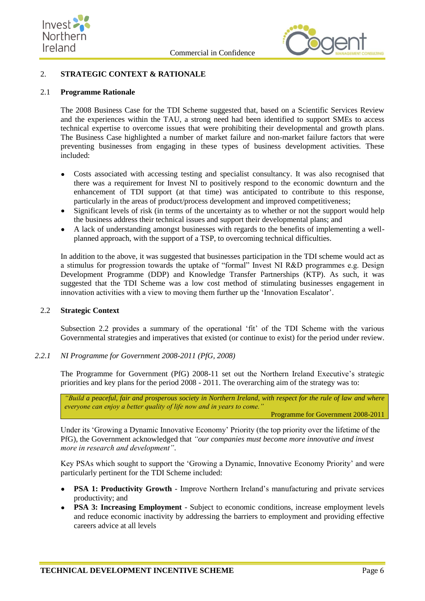



## <span id="page-13-0"></span>2. **STRATEGIC CONTEXT & RATIONALE**

#### <span id="page-13-1"></span>2.1 **Programme Rationale**

The 2008 Business Case for the TDI Scheme suggested that, based on a Scientific Services Review and the experiences within the TAU, a strong need had been identified to support SMEs to access technical expertise to overcome issues that were prohibiting their developmental and growth plans. The Business Case highlighted a number of market failure and non-market failure factors that were preventing businesses from engaging in these types of business development activities. These included:

- Costs associated with accessing testing and specialist consultancy. It was also recognised that there was a requirement for Invest NI to positively respond to the economic downturn and the enhancement of TDI support (at that time) was anticipated to contribute to this response, particularly in the areas of product/process development and improved competitiveness;
- Significant levels of risk (in terms of the uncertainty as to whether or not the support would help the business address their technical issues and support their developmental plans; and
- A lack of understanding amongst businesses with regards to the benefits of implementing a wellplanned approach, with the support of a TSP, to overcoming technical difficulties.

In addition to the above, it was suggested that businesses participation in the TDI scheme would act as a stimulus for progression towards the uptake of "formal" Invest NI R&D programmes e.g. Design Development Programme (DDP) and Knowledge Transfer Partnerships (KTP). As such, it was suggested that the TDI Scheme was a low cost method of stimulating businesses engagement in innovation activities with a view to moving them further up the 'Innovation Escalator'.

#### <span id="page-13-2"></span>2.2 **Strategic Context**

Subsection 2.2 provides a summary of the operational 'fit' of the TDI Scheme with the various Governmental strategies and imperatives that existed (or continue to exist) for the period under review.

*2.2.1 NI Programme for Government 2008-2011 (PfG, 2008)*

The Programme for Government (PfG) 2008-11 set out the Northern Ireland Executive's strategic priorities and key plans for the period 2008 - 2011. The overarching aim of the strategy was to:

*"Build a peaceful, fair and prosperous society in Northern Ireland, with respect for the rule of law and where everyone can enjoy a better quality of life now and in years to come."*

Programme for Government 2008-2011

Under its 'Growing a Dynamic Innovative Economy' Priority (the top priority over the lifetime of the PfG), the Government acknowledged that *"our companies must become more innovative and invest more in research and development"*.

Key PSAs which sought to support the 'Growing a Dynamic, Innovative Economy Priority' and were particularly pertinent for the TDI Scheme included:

- **PSA 1: Productivity Growth** Improve Northern Ireland's manufacturing and private services productivity; and
- **PSA 3: Increasing Employment** Subject to economic conditions, increase employment levels  $\bullet$ and reduce economic inactivity by addressing the barriers to employment and providing effective careers advice at all levels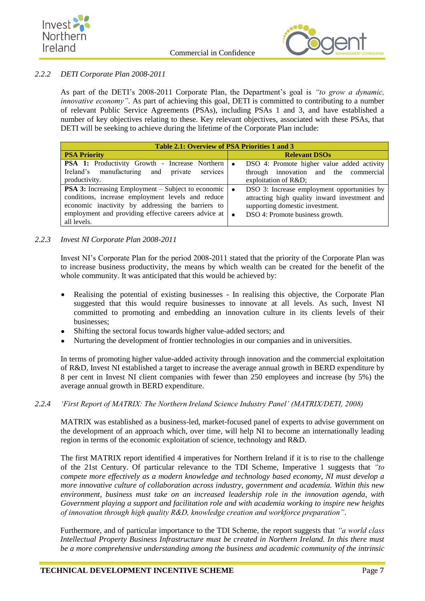



## *2.2.2 DETI Corporate Plan 2008-2011*

As part of the DETI's 2008-2011 Corporate Plan, the Department's goal is *"to grow a dynamic, innovative economy"*. As part of achieving this goal, DETI is committed to contributing to a number of relevant Public Service Agreements (PSAs), including PSAs 1 and 3, and have established a number of key objectives relating to these. Key relevant objectives, associated with these PSAs, that DETI will be seeking to achieve during the lifetime of the Corporate Plan include:

| Table 2.1: Overview of PSA Priorities 1 and 3                                                                                                                                                                                              |                                                                                                                                                                                 |  |
|--------------------------------------------------------------------------------------------------------------------------------------------------------------------------------------------------------------------------------------------|---------------------------------------------------------------------------------------------------------------------------------------------------------------------------------|--|
| <b>PSA Priority</b>                                                                                                                                                                                                                        | <b>Relevant DSOs</b>                                                                                                                                                            |  |
| <b>PSA 1:</b> Productivity Growth - Increase Northern                                                                                                                                                                                      | DSO 4: Promote higher value added activity<br>$\bullet$                                                                                                                         |  |
| Ireland's manufacturing and private<br>services                                                                                                                                                                                            | through innovation and the commercial                                                                                                                                           |  |
| productivity.                                                                                                                                                                                                                              | exploitation of R&D                                                                                                                                                             |  |
| <b>PSA 3:</b> Increasing Employment – Subject to economic<br>conditions, increase employment levels and reduce<br>economic inactivity by addressing the barriers to<br>employment and providing effective careers advice at<br>all levels. | DSO 3: Increase employment opportunities by<br>attracting high quality inward investment and<br>supporting domestic investment.<br>DSO 4: Promote business growth.<br>$\bullet$ |  |

## *2.2.3 Invest NI Corporate Plan 2008-2011*

Invest NI's Corporate Plan for the period 2008-2011 stated that the priority of the Corporate Plan was to increase business productivity, the means by which wealth can be created for the benefit of the whole community. It was anticipated that this would be achieved by:

- Realising the potential of existing businesses In realising this objective, the Corporate Plan suggested that this would require businesses to innovate at all levels. As such, Invest NI committed to promoting and embedding an innovation culture in its clients levels of their businesses;
- Shifting the sectoral focus towards higher value-added sectors; and
- Nurturing the development of frontier technologies in our companies and in universities.

In terms of promoting higher value-added activity through innovation and the commercial exploitation of R&D, Invest NI established a target to increase the average annual growth in BERD expenditure by 8 per cent in Invest NI client companies with fewer than 250 employees and increase (by 5%) the average annual growth in BERD expenditure.

### *2.2.4 'First Report of MATRIX: The Northern Ireland Science Industry Panel' (MATRIX/DETI, 2008)*

MATRIX was established as a business-led, market-focused panel of experts to advise government on the development of an approach which, over time, will help NI to become an internationally leading region in terms of the economic exploitation of science, technology and R&D.

The first MATRIX report identified 4 imperatives for Northern Ireland if it is to rise to the challenge of the 21st Century. Of particular relevance to the TDI Scheme, Imperative 1 suggests that *"to compete more effectively as a modern knowledge and technology based economy, NI must develop a more innovative culture of collaboration across industry, government and academia. Within this new environment, business must take on an increased leadership role in the innovation agenda, with Government playing a support and facilitation role and with academia working to inspire new heights of innovation through high quality R&D, knowledge creation and workforce preparation"*.

Furthermore, and of particular importance to the TDI Scheme, the report suggests that *"a world class Intellectual Property Business Infrastructure must be created in Northern Ireland. In this there must be a more comprehensive understanding among the business and academic community of the intrinsic*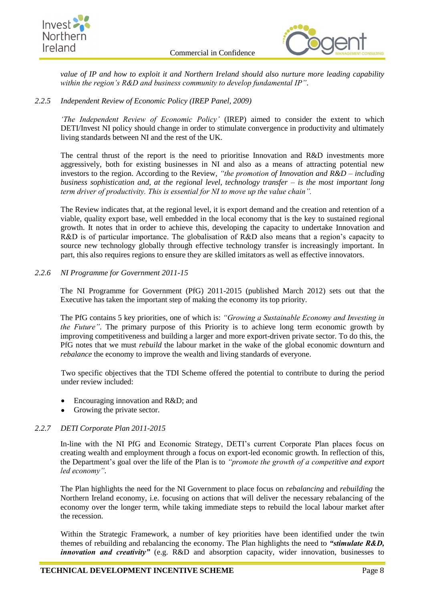



*value of IP and how to exploit it and Northern Ireland should also nurture more leading capability within the region's R&D and business community to develop fundamental IP"*.

## *2.2.5 Independent Review of Economic Policy (IREP Panel, 2009)*

*'The Independent Review of Economic Policy'* (IREP) aimed to consider the extent to which DETI/Invest NI policy should change in order to stimulate convergence in productivity and ultimately living standards between NI and the rest of the UK.

The central thrust of the report is the need to prioritise Innovation and R&D investments more aggressively, both for existing businesses in NI and also as a means of attracting potential new investors to the region. According to the Review, *"the promotion of Innovation and R&D – including business sophistication and, at the regional level, technology transfer – is the most important long term driver of productivity. This is essential for NI to move up the value chain".*

The Review indicates that, at the regional level, it is export demand and the creation and retention of a viable, quality export base, well embedded in the local economy that is the key to sustained regional growth. It notes that in order to achieve this, developing the capacity to undertake Innovation and R&D is of particular importance. The globalisation of R&D also means that a region's capacity to source new technology globally through effective technology transfer is increasingly important. In part, this also requires regions to ensure they are skilled imitators as well as effective innovators.

## *2.2.6 NI Programme for Government 2011-15*

The NI Programme for Government (PfG) 2011-2015 (published March 2012) sets out that the Executive has taken the important step of making the economy its top priority.

The PfG contains 5 key priorities, one of which is: *"Growing a Sustainable Economy and Investing in the Future"*. The primary purpose of this Priority is to achieve long term economic growth by improving competitiveness and building a larger and more export-driven private sector. To do this, the PfG notes that we must *rebuild* the labour market in the wake of the global economic downturn and *rebalance* the economy to improve the wealth and living standards of everyone.

Two specific objectives that the TDI Scheme offered the potential to contribute to during the period under review included:

- Encouraging innovation and R&D; and
- Growing the private sector.

### *2.2.7 DETI Corporate Plan 2011-2015*

In-line with the NI PfG and Economic Strategy, DETI's current Corporate Plan places focus on creating wealth and employment through a focus on export-led economic growth. In reflection of this, the Department's goal over the life of the Plan is to *"promote the growth of a competitive and export led economy"*.

The Plan highlights the need for the NI Government to place focus on *rebalancing* and *rebuilding* the Northern Ireland economy, i.e. focusing on actions that will deliver the necessary rebalancing of the economy over the longer term, while taking immediate steps to rebuild the local labour market after the recession.

Within the Strategic Framework, a number of key priorities have been identified under the twin themes of rebuilding and rebalancing the economy. The Plan highlights the need to *"stimulate R&D, innovation and creativity"* (e.g. R&D and absorption capacity, wider innovation, businesses to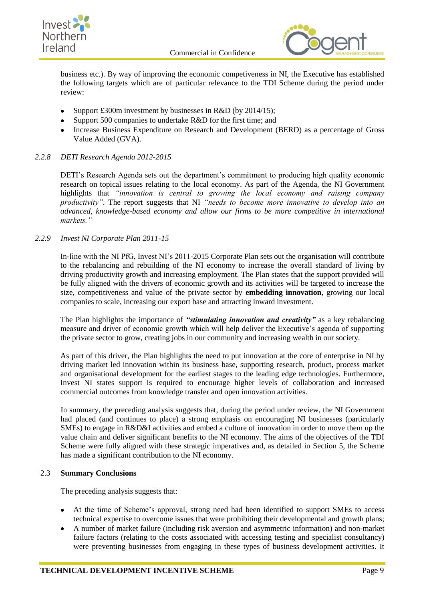



business etc.). By way of improving the economic competiveness in NI, the Executive has established the following targets which are of particular relevance to the TDI Scheme during the period under review:

- Support £300m investment by businesses in R&D (by 2014/15);  $\bullet$
- Support 500 companies to undertake R&D for the first time; and
- Increase Business Expenditure on Research and Development (BERD) as a percentage of Gross Value Added (GVA).

## *2.2.8 DETI Research Agenda 2012-2015*

DETI's Research Agenda sets out the department's commitment to producing high quality economic research on topical issues relating to the local economy. As part of the Agenda, the NI Government highlights that *"innovation is central to growing the local economy and raising company productivity"*. The report suggests that NI *"needs to become more innovative to develop into an advanced, knowledge-based economy and allow our firms to be more competitive in international markets."*

### *2.2.9 Invest NI Corporate Plan 2011-15*

In-line with the NI PfG, Invest NI's 2011-2015 Corporate Plan sets out the organisation will contribute to the rebalancing and rebuilding of the NI economy to increase the overall standard of living by driving productivity growth and increasing employment. The Plan states that the support provided will be fully aligned with the drivers of economic growth and its activities will be targeted to increase the size, competitiveness and value of the private sector by **embedding innovation**, growing our local companies to scale, increasing our export base and attracting inward investment.

The Plan highlights the importance of *"stimulating innovation and creativity"* as a key rebalancing measure and driver of economic growth which will help deliver the Executive's agenda of supporting the private sector to grow, creating jobs in our community and increasing wealth in our society.

As part of this driver, the Plan highlights the need to put innovation at the core of enterprise in NI by driving market led innovation within its business base, supporting research, product, process market and organisational development for the earliest stages to the leading edge technologies. Furthermore, Invest NI states support is required to encourage higher levels of collaboration and increased commercial outcomes from knowledge transfer and open innovation activities.

In summary, the preceding analysis suggests that, during the period under review, the NI Government had placed (and continues to place) a strong emphasis on encouraging NI businesses (particularly SMEs) to engage in R&D&I activities and embed a culture of innovation in order to move them up the value chain and deliver significant benefits to the NI economy. The aims of the objectives of the TDI Scheme were fully aligned with these strategic imperatives and, as detailed in Section 5, the Scheme has made a significant contribution to the NI economy.

### <span id="page-16-0"></span>2.3 **Summary Conclusions**

The preceding analysis suggests that:

- At the time of Scheme's approval, strong need had been identified to support SMEs to access technical expertise to overcome issues that were prohibiting their developmental and growth plans;
- A number of market failure (including risk aversion and asymmetric information) and non-market failure factors (relating to the costs associated with accessing testing and specialist consultancy) were preventing businesses from engaging in these types of business development activities. It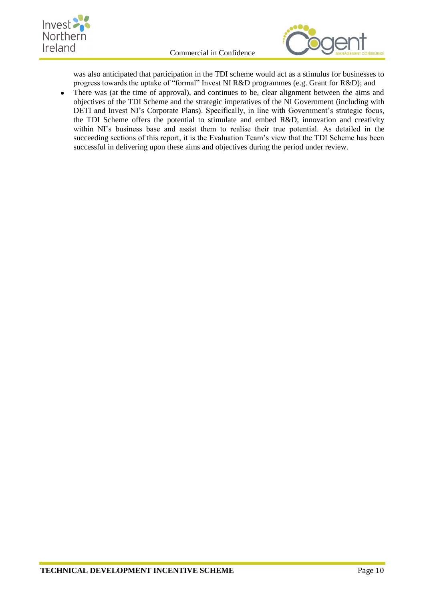



was also anticipated that participation in the TDI scheme would act as a stimulus for businesses to progress towards the uptake of "formal" Invest NI R&D programmes (e.g. Grant for R&D); and

There was (at the time of approval), and continues to be, clear alignment between the aims and  $\bullet$ objectives of the TDI Scheme and the strategic imperatives of the NI Government (including with DETI and Invest NI's Corporate Plans). Specifically, in line with Government's strategic focus, the TDI Scheme offers the potential to stimulate and embed R&D, innovation and creativity within NI's business base and assist them to realise their true potential. As detailed in the succeeding sections of this report, it is the Evaluation Team's view that the TDI Scheme has been successful in delivering upon these aims and objectives during the period under review.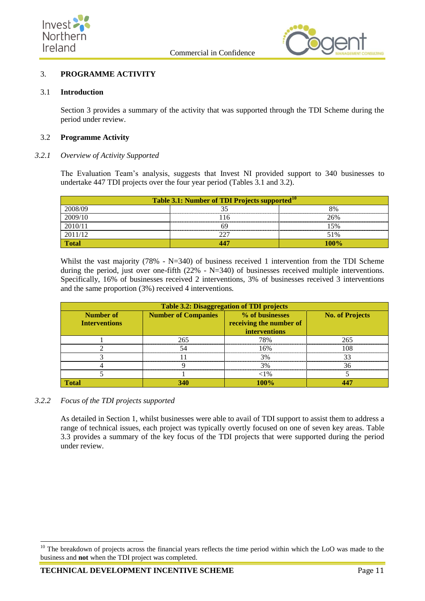



## <span id="page-18-0"></span>3. **PROGRAMME ACTIVITY**

#### <span id="page-18-1"></span>3.1 **Introduction**

Section 3 provides a summary of the activity that was supported through the TDI Scheme during the period under review.

#### <span id="page-18-2"></span>3.2 **Programme Activity**

### *3.2.1 Overview of Activity Supported*

The Evaluation Team's analysis, suggests that Invest NI provided support to 340 businesses to undertake 447 TDI projects over the four year period (Tables 3.1 and 3.2).

| Table 3.1: Number of TDI Projects supported <sup>10</sup> |    |      |
|-----------------------------------------------------------|----|------|
| 2008/09                                                   |    | 8%   |
| 2009/10                                                   | 16 | 26%  |
| 2010/11                                                   |    | 15%  |
| 2011/12                                                   |    | 51%  |
| rotal                                                     |    | 100% |

Whilst the vast majority (78% - N=340) of business received 1 intervention from the TDI Scheme during the period, just over one-fifth  $(22\% - N=340)$  of businesses received multiple interventions. Specifically, 16% of businesses received 2 interventions, 3% of businesses received 3 interventions and the same proportion (3%) received 4 interventions.

| <b>Table 3.2: Disaggregation of TDI projects</b> |                            |                                                             |                        |
|--------------------------------------------------|----------------------------|-------------------------------------------------------------|------------------------|
| Number of<br><b>Interventions</b>                | <b>Number of Companies</b> | % of businesses<br>receiving the number of<br>interventions | <b>No. of Projects</b> |
|                                                  | 265                        | 78%                                                         | 265                    |
|                                                  |                            | 16%                                                         | 108                    |
|                                                  |                            | 3%                                                          |                        |
|                                                  |                            | 3%                                                          | 36                     |
|                                                  |                            | ${<}1\%$                                                    |                        |
| l∩tal                                            | 340                        | 100%                                                        |                        |

### *3.2.2 Focus of the TDI projects supported*

-

As detailed in Section 1, whilst businesses were able to avail of TDI support to assist them to address a range of technical issues, each project was typically overtly focused on one of seven key areas. Table 3.3 provides a summary of the key focus of the TDI projects that were supported during the period under review.

<sup>&</sup>lt;sup>10</sup> The breakdown of projects across the financial years reflects the time period within which the LoO was made to the business and **not** when the TDI project was completed.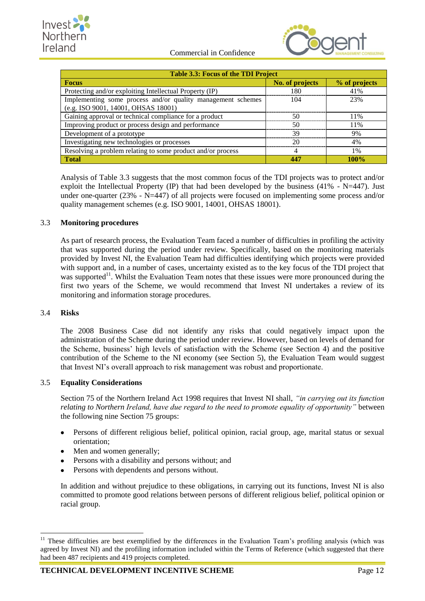



| <b>Table 3.3: Focus of the TDI Project</b>                                                         |                 |               |  |
|----------------------------------------------------------------------------------------------------|-----------------|---------------|--|
| <b>Focus</b>                                                                                       | No. of projects | % of projects |  |
| Protecting and/or exploiting Intellectual Property (IP)                                            | 180             | 41%           |  |
| Implementing some process and/or quality management schemes<br>(e.g. ISO 9001, 14001, OHSAS 18001) | 104             | 23%           |  |
| Gaining approval or technical compliance for a product                                             | 50              | 11%           |  |
| Improving product or process design and performance                                                | 50              | 11%           |  |
| Development of a prototype                                                                         | 39              | 9%            |  |
| Investigating new technologies or processes                                                        | 20              | 4%            |  |
| Resolving a problem relating to some product and/or process                                        | 4               | 1%            |  |
| <b>Total</b>                                                                                       | 447             | $100\%$       |  |

Analysis of Table 3.3 suggests that the most common focus of the TDI projects was to protect and/or exploit the Intellectual Property (IP) that had been developed by the business  $(41% - N=447)$ . Just under one-quarter (23% - N=447) of all projects were focused on implementing some process and/or quality management schemes (e.g. ISO 9001, 14001, OHSAS 18001).

## <span id="page-19-0"></span>3.3 **Monitoring procedures**

As part of research process, the Evaluation Team faced a number of difficulties in profiling the activity that was supported during the period under review. Specifically, based on the monitoring materials provided by Invest NI, the Evaluation Team had difficulties identifying which projects were provided with support and, in a number of cases, uncertainty existed as to the key focus of the TDI project that was supported<sup>11</sup>. Whilst the Evaluation Team notes that these issues were more pronounced during the first two years of the Scheme, we would recommend that Invest NI undertakes a review of its monitoring and information storage procedures.

### <span id="page-19-1"></span>3.4 **Risks**

The 2008 Business Case did not identify any risks that could negatively impact upon the administration of the Scheme during the period under review. However, based on levels of demand for the Scheme, business' high levels of satisfaction with the Scheme (see Section 4) and the positive contribution of the Scheme to the NI economy (see Section 5), the Evaluation Team would suggest that Invest NI's overall approach to risk management was robust and proportionate.

### <span id="page-19-2"></span>3.5 **Equality Considerations**

Section 75 of the Northern Ireland Act 1998 requires that Invest NI shall, *"in carrying out its function relating to Northern Ireland, have due regard to the need to promote equality of opportunity"* between the following nine Section 75 groups:

- Persons of different religious belief, political opinion, racial group, age, marital status or sexual orientation;
- Men and women generally;
- Persons with a disability and persons without; and
- Persons with dependents and persons without.

In addition and without prejudice to these obligations, in carrying out its functions, Invest NI is also committed to promote good relations between persons of different religious belief, political opinion or racial group.

<sup>1</sup> <sup>11</sup> These difficulties are best exemplified by the differences in the Evaluation Team's profiling analysis (which was agreed by Invest NI) and the profiling information included within the Terms of Reference (which suggested that there had been 487 recipients and 419 projects completed.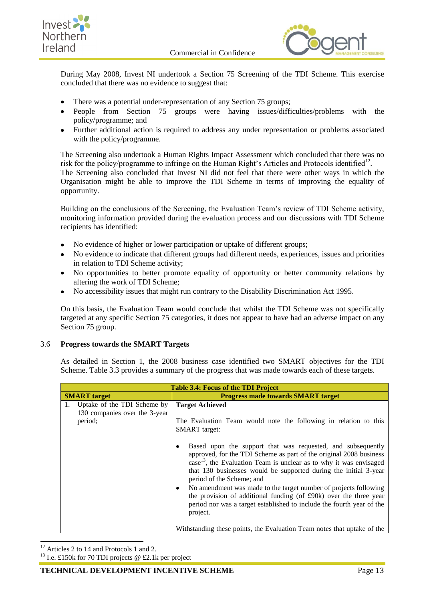



During May 2008, Invest NI undertook a Section 75 Screening of the TDI Scheme. This exercise concluded that there was no evidence to suggest that:

- There was a potential under-representation of any Section 75 groups;  $\bullet$
- People from Section 75 groups were having issues/difficulties/problems with the policy/programme; and
- Further additional action is required to address any under representation or problems associated with the policy/programme.

The Screening also undertook a Human Rights Impact Assessment which concluded that there was no risk for the policy/programme to infringe on the Human Right's Articles and Protocols identified<sup>12</sup>.

The Screening also concluded that Invest NI did not feel that there were other ways in which the Organisation might be able to improve the TDI Scheme in terms of improving the equality of opportunity.

Building on the conclusions of the Screening, the Evaluation Team's review of TDI Scheme activity, monitoring information provided during the evaluation process and our discussions with TDI Scheme recipients has identified:

- No evidence of higher or lower participation or uptake of different groups;
- No evidence to indicate that different groups had different needs, experiences, issues and priorities in relation to TDI Scheme activity;
- No opportunities to better promote equality of opportunity or better community relations by altering the work of TDI Scheme;
- No accessibility issues that might run contrary to the Disability Discrimination Act 1995.

On this basis, the Evaluation Team would conclude that whilst the TDI Scheme was not specifically targeted at any specific Section 75 categories, it does not appear to have had an adverse impact on any Section 75 group.

### <span id="page-20-0"></span>3.6 **Progress towards the SMART Targets**

As detailed in Section 1, the 2008 business case identified two SMART objectives for the TDI Scheme. Table 3.3 provides a summary of the progress that was made towards each of these targets.

| <b>Table 3.4: Focus of the TDI Project</b>                                    |                                                                                                                                                                                                                                                                                                                                                                                                                                                                                                                                                                                                                                                                    |  |
|-------------------------------------------------------------------------------|--------------------------------------------------------------------------------------------------------------------------------------------------------------------------------------------------------------------------------------------------------------------------------------------------------------------------------------------------------------------------------------------------------------------------------------------------------------------------------------------------------------------------------------------------------------------------------------------------------------------------------------------------------------------|--|
| <b>SMART</b> target                                                           | <b>Progress made towards SMART target</b>                                                                                                                                                                                                                                                                                                                                                                                                                                                                                                                                                                                                                          |  |
| Uptake of the TDI Scheme by<br>1.<br>130 companies over the 3-year<br>period; | <b>Target Achieved</b><br>The Evaluation Team would note the following in relation to this<br><b>SMART</b> target:<br>Based upon the support that was requested, and subsequently<br>approved, for the TDI Scheme as part of the original 2008 business<br>$\cos^{-13}$ , the Evaluation Team is unclear as to why it was envisaged<br>that 130 businesses would be supported during the initial 3-year<br>period of the Scheme; and<br>No amendment was made to the target number of projects following<br>the provision of additional funding (of £90k) over the three year<br>period nor was a target established to include the fourth year of the<br>project. |  |
|                                                                               | Withstanding these points, the Evaluation Team notes that uptake of the                                                                                                                                                                                                                                                                                                                                                                                                                                                                                                                                                                                            |  |

-<sup>12</sup> Articles 2 to 14 and Protocols 1 and 2.

<sup>13</sup> I.e. £150k for 70 TDI projects @ £2.1k per project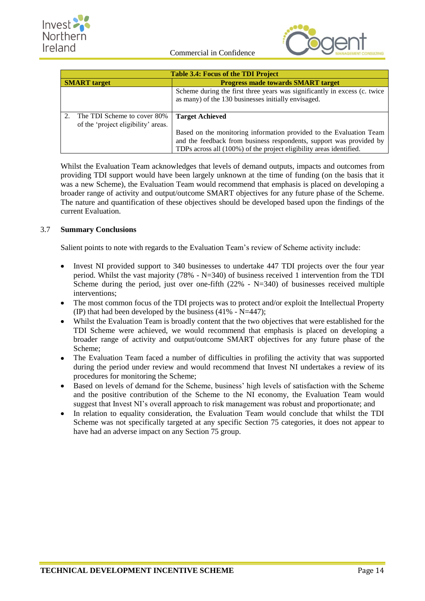



| <b>Table 3.4: Focus of the TDI Project</b>                         |                                                                                                                                                                                                                   |
|--------------------------------------------------------------------|-------------------------------------------------------------------------------------------------------------------------------------------------------------------------------------------------------------------|
| <b>SMART</b> target                                                | <b>Progress made towards SMART target</b>                                                                                                                                                                         |
|                                                                    | Scheme during the first three years was significantly in excess (c. twice<br>as many) of the 130 businesses initially envisaged.                                                                                  |
| The TDI Scheme to cover 80%<br>of the 'project eligibility' areas. | <b>Target Achieved</b>                                                                                                                                                                                            |
|                                                                    | Based on the monitoring information provided to the Evaluation Team<br>and the feedback from business respondents, support was provided by<br>TDPs across all (100%) of the project eligibility areas identified. |

Whilst the Evaluation Team acknowledges that levels of demand outputs, impacts and outcomes from providing TDI support would have been largely unknown at the time of funding (on the basis that it was a new Scheme), the Evaluation Team would recommend that emphasis is placed on developing a broader range of activity and output/outcome SMART objectives for any future phase of the Scheme. The nature and quantification of these objectives should be developed based upon the findings of the current Evaluation.

## <span id="page-21-0"></span>3.7 **Summary Conclusions**

Salient points to note with regards to the Evaluation Team's review of Scheme activity include:

- Invest NI provided support to 340 businesses to undertake 447 TDI projects over the four year period. Whilst the vast majority (78% - N=340) of business received 1 intervention from the TDI Scheme during the period, just over one-fifth  $(22% - N=340)$  of businesses received multiple interventions;
- The most common focus of the TDI projects was to protect and/or exploit the Intellectual Property  $\bullet$ (IP) that had been developed by the business  $(41\% - N=447)$ ;
- Whilst the Evaluation Team is broadly content that the two objectives that were established for the TDI Scheme were achieved, we would recommend that emphasis is placed on developing a broader range of activity and output/outcome SMART objectives for any future phase of the Scheme;
- The Evaluation Team faced a number of difficulties in profiling the activity that was supported during the period under review and would recommend that Invest NI undertakes a review of its procedures for monitoring the Scheme;
- Based on levels of demand for the Scheme, business' high levels of satisfaction with the Scheme and the positive contribution of the Scheme to the NI economy, the Evaluation Team would suggest that Invest NI's overall approach to risk management was robust and proportionate; and
- In relation to equality consideration, the Evaluation Team would conclude that whilst the TDI Scheme was not specifically targeted at any specific Section 75 categories, it does not appear to have had an adverse impact on any Section 75 group.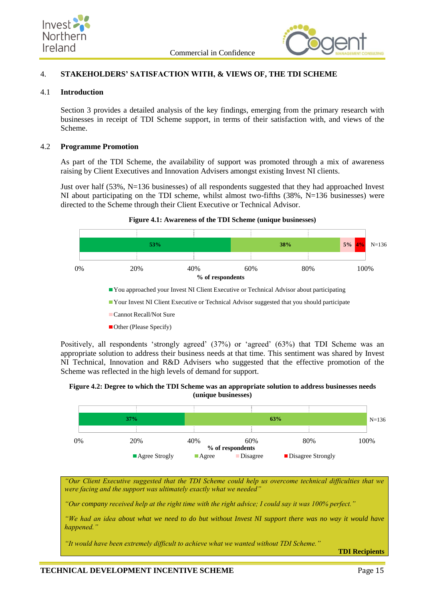



## <span id="page-22-0"></span>4. **STAKEHOLDERS' SATISFACTION WITH, & VIEWS OF, THE TDI SCHEME**

#### <span id="page-22-1"></span>4.1 **Introduction**

Section 3 provides a detailed analysis of the key findings, emerging from the primary research with businesses in receipt of TDI Scheme support, in terms of their satisfaction with, and views of the Scheme.

#### <span id="page-22-2"></span>4.2 **Programme Promotion**

As part of the TDI Scheme, the availability of support was promoted through a mix of awareness raising by Client Executives and Innovation Advisers amongst existing Invest NI clients.

Just over half (53%, N=136 businesses) of all respondents suggested that they had approached Invest NI about participating on the TDI scheme, whilst almost two-fifths  $(38\%, N=136)$  businesses) were directed to the Scheme through their Client Executive or Technical Advisor.



- Your Invest NI Client Executive or Technical Advisor suggested that you should participate
- Cannot Recall/Not Sure
- Other (Please Specify)

Positively, all respondents 'strongly agreed' (37%) or 'agreed' (63%) that TDI Scheme was an appropriate solution to address their business needs at that time. This sentiment was shared by Invest NI Technical, Innovation and R&D Advisers who suggested that the effective promotion of the Scheme was reflected in the high levels of demand for support.

**Figure 4.2: Degree to which the TDI Scheme was an appropriate solution to address businesses needs (unique businesses)**



*"Our Client Executive suggested that the TDI Scheme could help us overcome technical difficulties that we were facing and the support was ultimately exactly what we needed"* 

*"Our company received help at the right time with the right advice; I could say it was 100% perfect."*

*"We had an idea about what we need to do but without Invest NI support there was no way it would have happened."*

*"It would have been extremely difficult to achieve what we wanted without TDI Scheme."*

**TDI Recipients**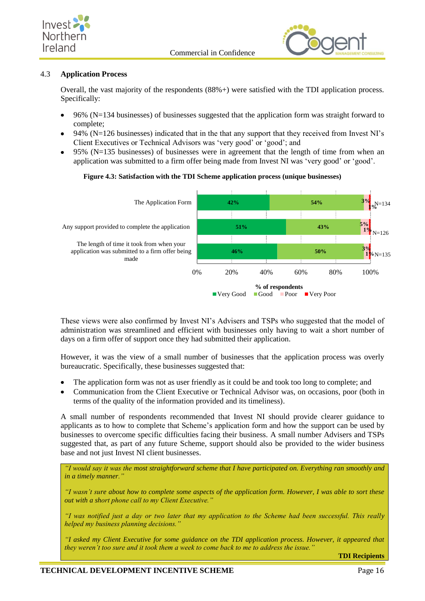



## <span id="page-23-0"></span>4.3 **Application Process**

Overall, the vast majority of the respondents (88%+) were satisfied with the TDI application process. Specifically:

- 96% (N=134 businesses) of businesses suggested that the application form was straight forward to complete;
- 94% (N=126 businesses) indicated that in the that any support that they received from Invest NI's Client Executives or Technical Advisors was 'very good' or 'good'; and
- 95% (N=135 businesses) of businesses were in agreement that the length of time from when an application was submitted to a firm offer being made from Invest NI was 'very good' or 'good'.

### **Figure 4.3: Satisfaction with the TDI Scheme application process (unique businesses)**



These views were also confirmed by Invest NI's Advisers and TSPs who suggested that the model of administration was streamlined and efficient with businesses only having to wait a short number of days on a firm offer of support once they had submitted their application.

However, it was the view of a small number of businesses that the application process was overly bureaucratic. Specifically, these businesses suggested that:

- The application form was not as user friendly as it could be and took too long to complete; and
- Communication from the Client Executive or Technical Advisor was, on occasions, poor (both in terms of the quality of the information provided and its timeliness).

A small number of respondents recommended that Invest NI should provide clearer guidance to applicants as to how to complete that Scheme's application form and how the support can be used by businesses to overcome specific difficulties facing their business. A small number Advisers and TSPs suggested that, as part of any future Scheme, support should also be provided to the wider business base and not just Invest NI client businesses.

*"I would say it was the most straightforward scheme that I have participated on. Everything ran smoothly and in a timely manner."*

*"I wasn't sure about how to complete some aspects of the application form. However, I was able to sort these out with a short phone call to my Client Executive."*

*"I was notified just a day or two later that my application to the Scheme had been successful. This really helped my business planning decisions."*

*"I asked my Client Executive for some guidance on the TDI application process. However, it appeared that they weren't too sure and it took them a week to come back to me to address the issue."*

**TDI Recipients**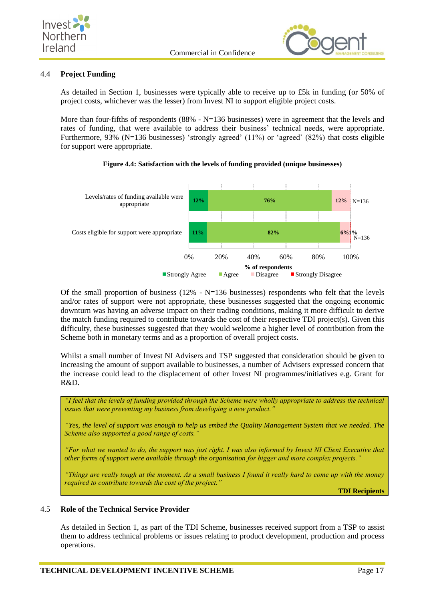



## <span id="page-24-0"></span>4.4 **Project Funding**

As detailed in Section 1, businesses were typically able to receive up to £5k in funding (or 50% of project costs, whichever was the lesser) from Invest NI to support eligible project costs.

More than four-fifths of respondents  $(88\% - N=136$  businesses) were in agreement that the levels and rates of funding, that were available to address their business' technical needs, were appropriate. Furthermore, 93% (N=136 businesses) 'strongly agreed' (11%) or 'agreed' (82%) that costs eligible for support were appropriate.



#### **Figure 4.4: Satisfaction with the levels of funding provided (unique businesses)**

Of the small proportion of business (12% -  $N=136$  businesses) respondents who felt that the levels and/or rates of support were not appropriate, these businesses suggested that the ongoing economic downturn was having an adverse impact on their trading conditions, making it more difficult to derive the match funding required to contribute towards the cost of their respective TDI project(s). Given this difficulty, these businesses suggested that they would welcome a higher level of contribution from the Scheme both in monetary terms and as a proportion of overall project costs.

Whilst a small number of Invest NI Advisers and TSP suggested that consideration should be given to increasing the amount of support available to businesses, a number of Advisers expressed concern that the increase could lead to the displacement of other Invest NI programmes/initiatives e.g. Grant for R&D.

*"I feel that the levels of funding provided through the Scheme were wholly appropriate to address the technical issues that were preventing my business from developing a new product."*

*"Yes, the level of support was enough to help us embed the Quality Management System that we needed. The Scheme also supported a good range of costs."*

*"For what we wanted to do, the support was just right. I was also informed by Invest NI Client Executive that other forms of support were available through the organisation for bigger and more complex projects."*

*"Things are really tough at the moment. As a small business I found it really hard to come up with the money required to contribute towards the cost of the project."*

**TDI Recipients**

### <span id="page-24-1"></span>4.5 **Role of the Technical Service Provider**

As detailed in Section 1, as part of the TDI Scheme, businesses received support from a TSP to assist them to address technical problems or issues relating to product development, production and process operations.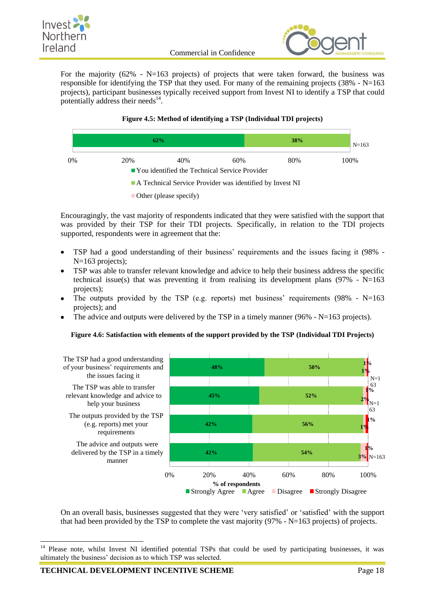



For the majority  $(62\% - N=163 \text{ projects})$  of projects that were taken forward, the business was responsible for identifying the TSP that they used. For many of the remaining projects (38% -  $N=163$ ) projects), participant businesses typically received support from Invest NI to identify a TSP that could potentially address their needs $^{14}$ .

## **Figure 4.5: Method of identifying a TSP (Individual TDI projects)**



Encouragingly, the vast majority of respondents indicated that they were satisfied with the support that was provided by their TSP for their TDI projects. Specifically, in relation to the TDI projects supported, respondents were in agreement that the:

- TSP had a good understanding of their business' requirements and the issues facing it (98% N=163 projects);
- TSP was able to transfer relevant knowledge and advice to help their business address the specific  $\bullet$ technical issue(s) that was preventing it from realising its development plans ( $97\%$  -  $N=163$ projects);
- The outputs provided by the TSP (e.g. reports) met business' requirements (98%  $N=163$ projects); and
- The advice and outputs were delivered by the TSP in a timely manner (96%  $N=163$  projects).

### **Figure 4.6: Satisfaction with elements of the support provided by the TSP (Individual TDI Projects)**



On an overall basis, businesses suggested that they were 'very satisfied' or 'satisfied' with the support that had been provided by the TSP to complete the vast majority  $(97% - N=163$  projects) of projects.

-

<sup>&</sup>lt;sup>14</sup> Please note, whilst Invest NI identified potential TSPs that could be used by participating businesses, it was ultimately the business' decision as to which TSP was selected.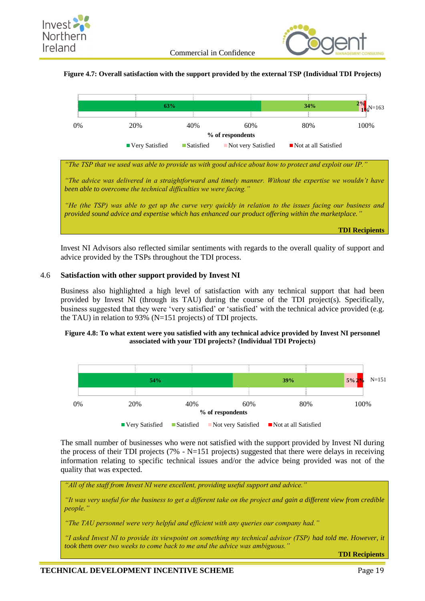

## **Figure 4.7: Overall satisfaction with the support provided by the external TSP (Individual TDI Projects)**



*"The TSP that we used was able to provide us with good advice about how to protect and exploit our IP."*

*"The advice was delivered in a straightforward and timely manner. Without the expertise we wouldn't have been able to overcome the technical difficulties we were facing."*

*"He (the TSP) was able to get up the curve very quickly in relation to the issues facing our business and provided sound advice and expertise which has enhanced our product offering within the marketplace."*

**TDI Recipients**

Invest NI Advisors also reflected similar sentiments with regards to the overall quality of support and advice provided by the TSPs throughout the TDI process.

#### <span id="page-26-0"></span>4.6 **Satisfaction with other support provided by Invest NI**

Business also highlighted a high level of satisfaction with any technical support that had been provided by Invest NI (through its TAU) during the course of the TDI project(s). Specifically, business suggested that they were 'very satisfied' or 'satisfied' with the technical advice provided (e.g. the TAU) in relation to 93% (N=151 projects) of TDI projects.

#### **Figure 4.8: To what extent were you satisfied with any technical advice provided by Invest NI personnel associated with your TDI projects? (Individual TDI Projects)**



The small number of businesses who were not satisfied with the support provided by Invest NI during the process of their TDI projects (7% - N=151 projects) suggested that there were delays in receiving information relating to specific technical issues and/or the advice being provided was not of the quality that was expected.

*"All of the staff from Invest NI were excellent, providing useful support and advice."*

*"It was very useful for the business to get a different take on the project and gain a different view from credible people."*

*"The TAU personnel were very helpful and efficient with any queries our company had."*

*"I asked Invest NI to provide its viewpoint on something my technical advisor (TSP) had told me. However, it took them over two weeks to come back to me and the advice was ambiguous."*

**TDI Recipients**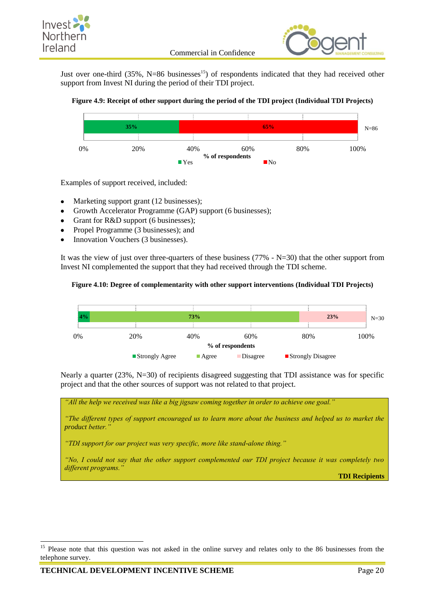



Just over one-third  $(35\%, N=86 \text{ businesses}^{15})$  of respondents indicated that they had received other support from Invest NI during the period of their TDI project.

### **Figure 4.9: Receipt of other support during the period of the TDI project (Individual TDI Projects)**



Examples of support received, included:

- Marketing support grant (12 businesses);
- Growth Accelerator Programme (GAP) support (6 businesses);
- Grant for R&D support (6 businesses);
- Propel Programme (3 businesses); and
- Innovation Vouchers (3 businesses).

It was the view of just over three-quarters of these business (77% - N=30) that the other support from Invest NI complemented the support that they had received through the TDI scheme.

### **Figure 4.10: Degree of complementarity with other support interventions (Individual TDI Projects)**



Nearly a quarter (23%, N=30) of recipients disagreed suggesting that TDI assistance was for specific project and that the other sources of support was not related to that project.

*"All the help we received was like a big jigsaw coming together in order to achieve one goal."*

*"The different types of support encouraged us to learn more about the business and helped us to market the product better."*

*"TDI support for our project was very specific, more like stand-alone thing."*

*"No, I could not say that the other support complemented our TDI project because it was completely two different programs."*

**TDI Recipients**

-

<sup>&</sup>lt;sup>15</sup> Please note that this question was not asked in the online survey and relates only to the 86 businesses from the telephone survey.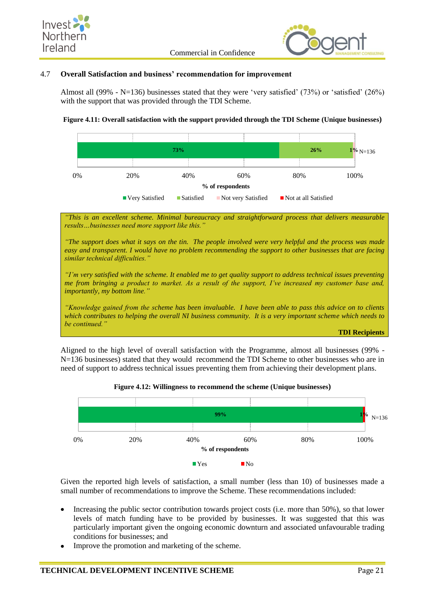



### <span id="page-28-0"></span>4.7 **Overall Satisfaction and business' recommendation for improvement**

Almost all (99% - N=136) businesses stated that they were 'very satisfied' (73%) or 'satisfied' (26%) with the support that was provided through the TDI Scheme.

### **Figure 4.11: Overall satisfaction with the support provided through the TDI Scheme (Unique businesses)**



*"This is an excellent scheme. Minimal bureaucracy and straightforward process that delivers measurable results…businesses need more support like this."*

*"The support does what it says on the tin. The people involved were very helpful and the process was made easy and transparent. I would have no problem recommending the support to other businesses that are facing similar technical difficulties."*

*"I'm very satisfied with the scheme. It enabled me to get quality support to address technical issues preventing me from bringing a product to market. As a result of the support, I've increased my customer base and, importantly, my bottom line."*

*"Knowledge gained from the scheme has been invaluable. I have been able to pass this advice on to clients which contributes to helping the overall NI business community. It is a very important scheme which needs to be continued."*

**TDI Recipients**

Aligned to the high level of overall satisfaction with the Programme, almost all businesses (99% - N=136 businesses) stated that they would recommend the TDI Scheme to other businesses who are in need of support to address technical issues preventing them from achieving their development plans.





Given the reported high levels of satisfaction, a small number (less than 10) of businesses made a small number of recommendations to improve the Scheme. These recommendations included:

- Increasing the public sector contribution towards project costs (i.e. more than 50%), so that lower  $\bullet$ levels of match funding have to be provided by businesses. It was suggested that this was particularly important given the ongoing economic downturn and associated unfavourable trading conditions for businesses; and
- Improve the promotion and marketing of the scheme.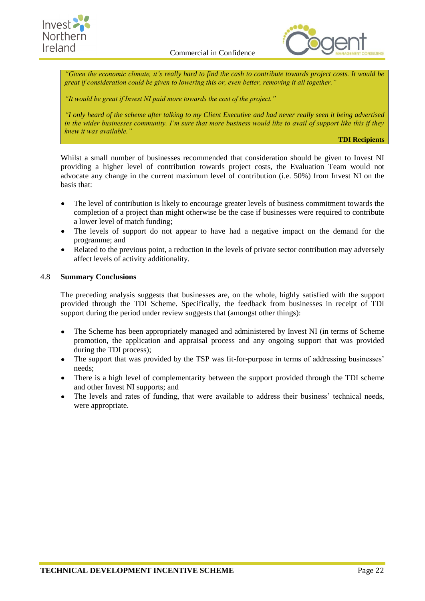



*"Given the economic climate, it's really hard to find the cash to contribute towards project costs. It would be great if consideration could be given to lowering this or, even better, removing it all together."*

*"It would be great if Invest NI paid more towards the cost of the project."*

*"I only heard of the scheme after talking to my Client Executive and had never really seen it being advertised in the wider businesses community. I'm sure that more business would like to avail of support like this if they knew it was available."*

**TDI Recipients**

Whilst a small number of businesses recommended that consideration should be given to Invest NI providing a higher level of contribution towards project costs, the Evaluation Team would not advocate any change in the current maximum level of contribution (i.e. 50%) from Invest NI on the basis that:

- The level of contribution is likely to encourage greater levels of business commitment towards the completion of a project than might otherwise be the case if businesses were required to contribute a lower level of match funding;
- The levels of support do not appear to have had a negative impact on the demand for the programme; and
- Related to the previous point, a reduction in the levels of private sector contribution may adversely affect levels of activity additionality.

### <span id="page-29-0"></span>4.8 **Summary Conclusions**

The preceding analysis suggests that businesses are, on the whole, highly satisfied with the support provided through the TDI Scheme. Specifically, the feedback from businesses in receipt of TDI support during the period under review suggests that (amongst other things):

- The Scheme has been appropriately managed and administered by Invest NI (in terms of Scheme promotion, the application and appraisal process and any ongoing support that was provided during the TDI process);
- The support that was provided by the TSP was fit-for-purpose in terms of addressing businesses' needs;
- There is a high level of complementarity between the support provided through the TDI scheme and other Invest NI supports; and
- The levels and rates of funding, that were available to address their business' technical needs, were appropriate.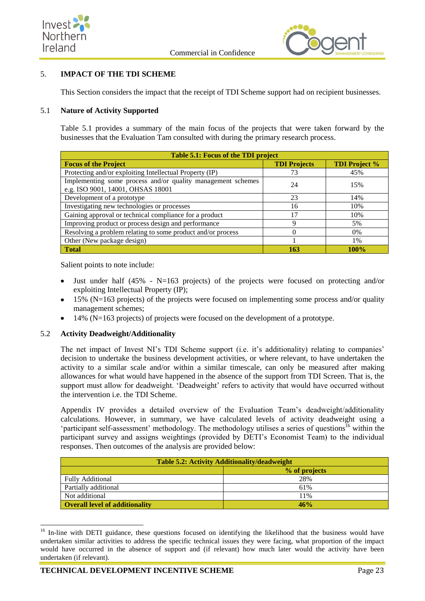



## <span id="page-30-0"></span>5. **IMPACT OF THE TDI SCHEME**

This Section considers the impact that the receipt of TDI Scheme support had on recipient businesses.

### <span id="page-30-1"></span>5.1 **Nature of Activity Supported**

Table 5.1 provides a summary of the main focus of the projects that were taken forward by the businesses that the Evaluation Tam consulted with during the primary research process.

| Table 5.1: Focus of the TDI project                                                              |                     |                      |
|--------------------------------------------------------------------------------------------------|---------------------|----------------------|
| <b>Focus of the Project</b>                                                                      | <b>TDI Projects</b> | <b>TDI Project %</b> |
| Protecting and/or exploiting Intellectual Property (IP)                                          | 73                  | 45%                  |
| Implementing some process and/or quality management schemes<br>e.g. ISO 9001, 14001, OHSAS 18001 | 24                  | 15%                  |
| Development of a prototype                                                                       | 23                  | 14%                  |
| Investigating new technologies or processes                                                      | 16                  | 10%                  |
| Gaining approval or technical compliance for a product                                           | 17                  | 10%                  |
| Improving product or process design and performance                                              | Q                   | 5%                   |
| Resolving a problem relating to some product and/or process                                      |                     | $0\%$                |
| Other (New package design)                                                                       |                     | 1%                   |
| <b>Total</b>                                                                                     | 163                 | 100%                 |

Salient points to note include:

- Just under half (45% N=163 projects) of the projects were focused on protecting and/or exploiting Intellectual Property (IP);
- 15% (N=163 projects) of the projects were focused on implementing some process and/or quality management schemes;
- 14% (N=163 projects) of projects were focused on the development of a prototype.

### <span id="page-30-2"></span>5.2 **Activity Deadweight/Additionality**

The net impact of Invest NI's TDI Scheme support (i.e. it's additionality) relating to companies' decision to undertake the business development activities, or where relevant, to have undertaken the activity to a similar scale and/or within a similar timescale, can only be measured after making allowances for what would have happened in the absence of the support from TDI Screen. That is, the support must allow for deadweight. 'Deadweight' refers to activity that would have occurred without the intervention i.e. the TDI Scheme.

Appendix IV provides a detailed overview of the Evaluation Team's deadweight/additionality calculations. However, in summary, we have calculated levels of activity deadweight using a 'participant self-assessment' methodology. The methodology utilises a series of questions<sup>16</sup> within the participant survey and assigns weightings (provided by DETI's Economist Team) to the individual responses. Then outcomes of the analysis are provided below:

| <b>Table 5.2: Activity Additionality/deadweight</b> |               |
|-----------------------------------------------------|---------------|
|                                                     | % of projects |
| <b>Fully Additional</b>                             | 28%           |
| Partially additional                                | 61%           |
| Not additional                                      | 11%           |
| <b>Overall level of additionality</b>               | 46%           |

<sup>1</sup> <sup>16</sup> In-line with DETI guidance, these questions focused on identifying the likelihood that the business would have undertaken similar activities to address the specific technical issues they were facing, what proportion of the impact would have occurred in the absence of support and (if relevant) how much later would the activity have been undertaken (if relevant).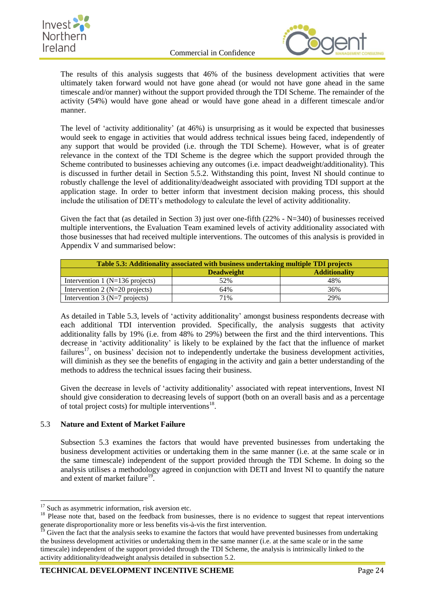



The results of this analysis suggests that 46% of the business development activities that were ultimately taken forward would not have gone ahead (or would not have gone ahead in the same timescale and/or manner) without the support provided through the TDI Scheme. The remainder of the activity (54%) would have gone ahead or would have gone ahead in a different timescale and/or manner.

The level of 'activity additionality' (at 46%) is unsurprising as it would be expected that businesses would seek to engage in activities that would address technical issues being faced, independently of any support that would be provided (i.e. through the TDI Scheme). However, what is of greater relevance in the context of the TDI Scheme is the degree which the support provided through the Scheme contributed to businesses achieving any outcomes (i.e. impact deadweight/additionality). This is discussed in further detail in Section 5.5.2. Withstanding this point, Invest NI should continue to robustly challenge the level of additionality/deadweight associated with providing TDI support at the application stage. In order to better inform that investment decision making process, this should include the utilisation of DETI's methodology to calculate the level of activity additionality.

Given the fact that (as detailed in Section 3) just over one-fifth (22% - N=340) of businesses received multiple interventions, the Evaluation Team examined levels of activity additionality associated with those businesses that had received multiple interventions. The outcomes of this analysis is provided in Appendix V and summarised below:

| Table 5.3: Additionality associated with business undertaking multiple TDI projects |                   |                      |
|-------------------------------------------------------------------------------------|-------------------|----------------------|
|                                                                                     | <b>Deadweight</b> | <b>Additionality</b> |
| Intervention 1 ( $N=136$ projects)                                                  | 52%               | 48%                  |
| Intervention 2 ( $N=20$ projects)                                                   | 64%               | 36%                  |
| Intervention 3 ( $N=7$ projects)                                                    | 71%               | 29%                  |

As detailed in Table 5.3, levels of 'activity additionality' amongst business respondents decrease with each additional TDI intervention provided. Specifically, the analysis suggests that activity additionality falls by 19% (i.e. from 48% to 29%) between the first and the third interventions. This decrease in 'activity additionality' is likely to be explained by the fact that the influence of market failures<sup>17</sup>, on business' decision not to independently undertake the business development activities, will diminish as they see the benefits of engaging in the activity and gain a better understanding of the methods to address the technical issues facing their business.

Given the decrease in levels of 'activity additionality' associated with repeat interventions, Invest NI should give consideration to decreasing levels of support (both on an overall basis and as a percentage of total project costs) for multiple interventions<sup>18</sup>.

## <span id="page-31-0"></span>5.3 **Nature and Extent of Market Failure**

Subsection 5.3 examines the factors that would have prevented businesses from undertaking the business development activities or undertaking them in the same manner (i.e. at the same scale or in the same timescale) independent of the support provided through the TDI Scheme. In doing so the analysis utilises a methodology agreed in conjunction with DETI and Invest NI to quantify the nature and extent of market failure<sup>19</sup>.

1

<sup>&</sup>lt;sup>17</sup> Such as asymmetric information, risk aversion etc.

<sup>&</sup>lt;sup>18</sup> Please note that, based on the feedback from businesses, there is no evidence to suggest that repeat interventions generate disproportionality more or less benefits vis-à-vis the first intervention.

<sup>&</sup>lt;sup>19</sup> Given the fact that the analysis seeks to examine the factors that would have prevented businesses from undertaking the business development activities or undertaking them in the same manner (i.e. at the same scale or in the same timescale) independent of the support provided through the TDI Scheme, the analysis is intrinsically linked to the activity additionality/deadweight analysis detailed in subsection 5.2.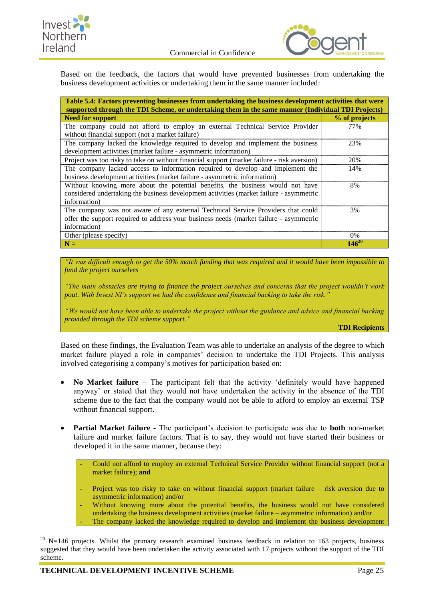



Based on the feedback, the factors that would have prevented businesses from undertaking the business development activities or undertaking them in the same manner included:

| Table 5.4: Factors preventing businesses from undertaking the business development activities that were<br>supported through the TDI Scheme, or undertaking them in the same manner (Individual TDI Projects) |               |  |
|---------------------------------------------------------------------------------------------------------------------------------------------------------------------------------------------------------------|---------------|--|
| <b>Need for support</b>                                                                                                                                                                                       | % of projects |  |
| The company could not afford to employ an external Technical Service Provider<br>without financial support (not a market failure)                                                                             | 77%           |  |
| The company lacked the knowledge required to develop and implement the business<br>development activities (market failure - asymmetric information)                                                           | 23%           |  |
| Project was too risky to take on without financial support (market failure - risk aversion)                                                                                                                   | 20%           |  |
| The company lacked access to information required to develop and implement the<br>business development activities (market failure - asymmetric information)                                                   | 14%           |  |
| Without knowing more about the potential benefits, the business would not have<br>8%<br>considered undertaking the business development activities (market failure - asymmetric<br>information)               |               |  |
| The company was not aware of any external Technical Service Providers that could<br>3%<br>offer the support required to address your business needs (market failure - asymmetric<br>information)              |               |  |
| Other (please specify)                                                                                                                                                                                        | $0\%$         |  |
| $N =$                                                                                                                                                                                                         | $146^{20}$    |  |

*"It was difficult enough to get the 50% match funding that was required and it would have been impossible to fund the project ourselves*

*"The main obstacles are trying to finance the project ourselves and concerns that the project wouldn't work pout. With Invest NI's support we had the confidence and financial backing to take the risk.* 

*"We would not have been able to undertake the project without the guidance and advice and financial backing provided through the TDI scheme support."*

**TDI Recipients**

Based on these findings, the Evaluation Team was able to undertake an analysis of the degree to which market failure played a role in companies' decision to undertake the TDI Projects. This analysis involved categorising a company's motives for participation based on:

- **No Market failure** The participant felt that the activity 'definitely would have happened anyway' or stated that they would not have undertaken the activity in the absence of the TDI scheme due to the fact that the company would not be able to afford to employ an external TSP without financial support.
- **Partial Market failure** The participant's decision to participate was due to **both** non-market  $\bullet$ failure and market failure factors. That is to say, they would not have started their business or developed it in the same manner, because they:

- Could not afford to employ an external Technical Service Provider without financial support (not a market failure); **and**

- Project was too risky to take on without financial support (market failure risk aversion due to asymmetric information) and/or
- Without knowing more about the potential benefits, the business would not have considered undertaking the business development activities (market failure – asymmetric information) and/or The company lacked the knowledge required to develop and implement the business development

<sup>1</sup>  $20$  N=146 projects. Whilst the primary research examined business feedback in relation to 163 projects, business suggested that they would have been undertaken the activity associated with 17 projects without the support of the TDI scheme.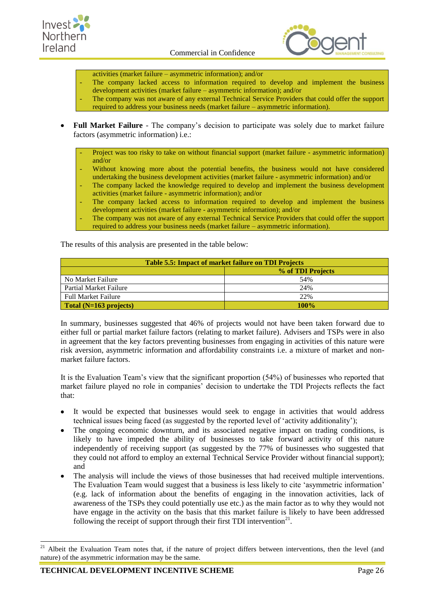



- activities (market failure asymmetric information); and/or
- The company lacked access to information required to develop and implement the business development activities (market failure – asymmetric information); and/or
- The company was not aware of any external Technical Service Providers that could offer the support required to address your business needs (market failure – asymmetric information).
- **Full Market Failure** The company's decision to participate was solely due to market failure  $\bullet$ factors (asymmetric information) i.e.:

Project was too risky to take on without financial support (market failure - asymmetric information) and/or

- Without knowing more about the potential benefits, the business would not have considered undertaking the business development activities (market failure - asymmetric information) and/or
- The company lacked the knowledge required to develop and implement the business development activities (market failure - asymmetric information); and/or
- The company lacked access to information required to develop and implement the business development activities (market failure - asymmetric information); and/or
- The company was not aware of any external Technical Service Providers that could offer the support required to address your business needs (market failure – asymmetric information).

The results of this analysis are presented in the table below:

| <b>Table 5.5: Impact of market failure on TDI Projects</b> |                   |  |
|------------------------------------------------------------|-------------------|--|
|                                                            | % of TDI Projects |  |
| No Market Failure                                          | 54%               |  |
| Partial Market Failure                                     | 24%               |  |
| <b>Full Market Failure</b>                                 | 22%               |  |
| Total (N=163 projects)                                     | <b>100%</b>       |  |

In summary, businesses suggested that 46% of projects would not have been taken forward due to either full or partial market failure factors (relating to market failure). Advisers and TSPs were in also in agreement that the key factors preventing businesses from engaging in activities of this nature were risk aversion, asymmetric information and affordability constraints i.e. a mixture of market and nonmarket failure factors.

It is the Evaluation Team's view that the significant proportion (54%) of businesses who reported that market failure played no role in companies' decision to undertake the TDI Projects reflects the fact that:

- It would be expected that businesses would seek to engage in activities that would address  $\bullet$ technical issues being faced (as suggested by the reported level of 'activity additionality');
- The ongoing economic downturn, and its associated negative impact on trading conditions, is likely to have impeded the ability of businesses to take forward activity of this nature independently of receiving support (as suggested by the 77% of businesses who suggested that they could not afford to employ an external Technical Service Provider without financial support); and
- The analysis will include the views of those businesses that had received multiple interventions. The Evaluation Team would suggest that a business is less likely to cite 'asymmetric information' (e.g. lack of information about the benefits of engaging in the innovation activities, lack of awareness of the TSPs they could potentially use etc.) as the main factor as to why they would not have engage in the activity on the basis that this market failure is likely to have been addressed following the receipt of support through their first TDI intervention $21$ .

<span id="page-33-0"></span>-

 $21$  Albeit the Evaluation Team notes that, if the nature of project differs between interventions, then the level (and nature) of the asymmetric information may be the same.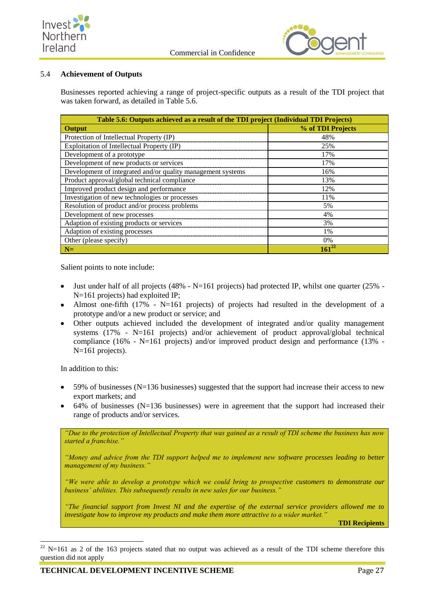



## 5.4 **Achievement of Outputs**

Businesses reported achieving a range of project-specific outputs as a result of the TDI project that was taken forward, as detailed in Table 5.6.

| Table 5.6: Outputs achieved as a result of the TDI project (Individual TDI Projects) |                   |  |
|--------------------------------------------------------------------------------------|-------------------|--|
| Output                                                                               | % of TDI Projects |  |
| Protection of Intellectual Property (IP)                                             | 48%               |  |
| Exploitation of Intellectual Property (IP)                                           | 25%               |  |
| Development of a prototype                                                           | 17%               |  |
| Development of new products or services                                              | 17%               |  |
| Development of integrated and/or quality management systems                          | 16%               |  |
| Product approval/global technical compliance                                         | 13%               |  |
| Improved product design and performance                                              | 12%               |  |
| Investigation of new technologies or processes                                       | 11%               |  |
| Resolution of product and/or process problems                                        | 5%                |  |
| Development of new processes                                                         | 4%                |  |
| Adaption of existing products or services                                            | 3%                |  |
| Adaption of existing processes                                                       | 1%                |  |
| Other (please specify)                                                               | 0%                |  |
| $N=$                                                                                 |                   |  |

Salient points to note include:

- Just under half of all projects (48%  $N=161$  projects) had protected IP, whilst one quarter (25% -N=161 projects) had exploited IP;
- Almost one-fifth (17% N=161 projects) of projects had resulted in the development of a prototype and/or a new product or service; and
- Other outputs achieved included the development of integrated and/or quality management systems  $(17\%$  - N=161 projects) and/or achievement of product approval/global technical compliance (16% - N=161 projects) and/or improved product design and performance (13% -N=161 projects).

In addition to this:

-

- 59% of businesses (N=136 businesses) suggested that the support had increase their access to new export markets; and
- $64\%$  of businesses (N=136 businesses) were in agreement that the support had increased their range of products and/or services.

*"Due to the protection of Intellectual Property that was gained as a result of TDI scheme the business has now started a franchise."*

*"Money and advice from the TDI support helped me to implement new software processes leading to better management of my business."*

*"We were able to develop a prototype which we could bring to prospective customers to demonstrate our business' abilities. This subsequently results in new sales for our business."*

*"The financial support from Invest NI and the expertise of the external service providers allowed me to investigate how to improve my products and make them more attractive to a wider market."*

**TDI Recipients**

 $22$  N=161 as 2 of the 163 projects stated that no output was achieved as a result of the TDI scheme therefore this question did not apply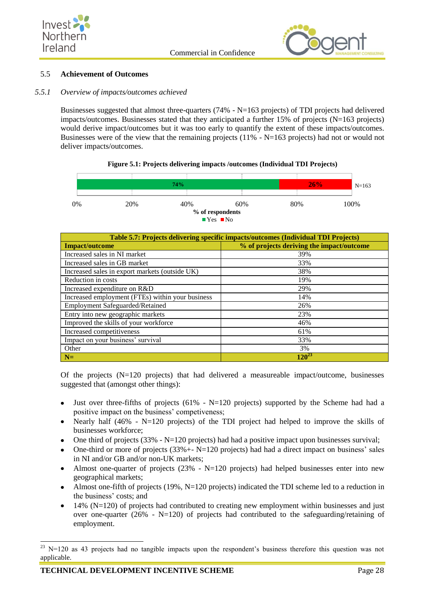



### <span id="page-35-0"></span>5.5 **Achievement of Outcomes**

### *5.5.1 Overview of impacts/outcomes achieved*

Businesses suggested that almost three-quarters (74% - N=163 projects) of TDI projects had delivered impacts/outcomes. Businesses stated that they anticipated a further  $15\%$  of projects (N=163 projects) would derive impact/outcomes but it was too early to quantify the extent of these impacts/outcomes. Businesses were of the view that the remaining projects (11% -  $N=163$  projects) had not or would not deliver impacts/outcomes.



| Table 5.7: Projects delivering specific impacts/outcomes (Individual TDI Projects) |                                           |  |
|------------------------------------------------------------------------------------|-------------------------------------------|--|
| <b>Impact/outcome</b>                                                              | % of projects deriving the impact/outcome |  |
| Increased sales in NI market                                                       | 39%                                       |  |
| Increased sales in GB market                                                       | 33%                                       |  |
| Increased sales in export markets (outside UK)                                     | 38%                                       |  |
| Reduction in costs                                                                 | 19%                                       |  |
| Increased expenditure on R&D                                                       | 29%                                       |  |
| Increased employment (FTEs) within your business                                   | 14%                                       |  |
| <b>Employment Safeguarded/Retained</b>                                             | 26%                                       |  |
| Entry into new geographic markets                                                  | 23%                                       |  |
| Improved the skills of your workforce                                              | 46%                                       |  |
| Increased competitiveness                                                          | 61%                                       |  |
| Impact on your business' survival                                                  | 33%                                       |  |
| Other                                                                              | 3%                                        |  |
| $N=$                                                                               | $120^{23}$                                |  |

Of the projects  $(N=120 \text{ projects})$  that had delivered a measureable impact/outcome, businesses suggested that (amongst other things):

- Just over three-fifths of projects (61% N=120 projects) supported by the Scheme had had a positive impact on the business' competiveness;
- Nearly half (46% N=120 projects) of the TDI project had helped to improve the skills of businesses workforce;
- One third of projects  $(33\% N=120 \text{ projects})$  had had a positive impact upon businesses survival;
- One-third or more of projects  $(33% + N=120)$  projects) had had a direct impact on business' sales in NI and/or GB and/or non-UK markets;
- Almost one-quarter of projects (23%  $N=120$  projects) had helped businesses enter into new geographical markets;
- Almost one-fifth of projects (19%, N=120 projects) indicated the TDI scheme led to a reduction in the business' costs; and
- $14\%$  (N=120) of projects had contributed to creating new employment within businesses and just over one-quarter (26% - N=120) of projects had contributed to the safeguarding/retaining of employment.

-

 $23$  N=120 as 43 projects had no tangible impacts upon the respondent's business therefore this question was not applicable.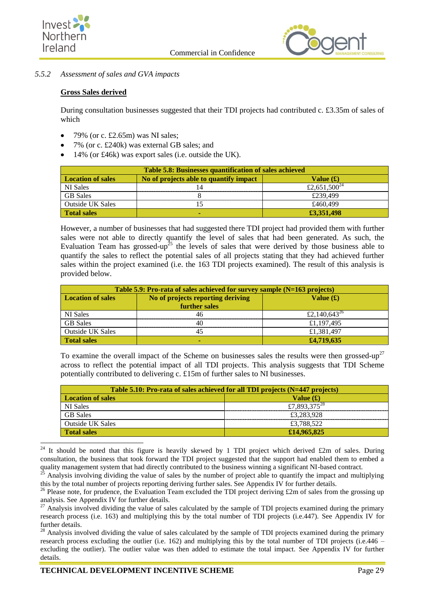



## *5.5.2 Assessment of sales and GVA impacts*

## **Gross Sales derived**

During consultation businesses suggested that their TDI projects had contributed c. £3.35m of sales of which

- 79% (or c. £2.65m) was NI sales;
- 7% (or c. £240k) was external GB sales; and
- 14% (or £46k) was export sales (i.e. outside the UK).

| Table 5.8: Businesses quantification of sales achieved |                                        |                          |
|--------------------------------------------------------|----------------------------------------|--------------------------|
| <b>Location of sales</b>                               | No of projects able to quantify impact | Value $(f)$              |
| NI Sales                                               |                                        | £2,651,500 <sup>24</sup> |
| <b>GB</b> Sales                                        |                                        | £239.499                 |
| Outside UK Sales                                       |                                        | £460.499                 |
| <b>Total sales</b>                                     |                                        | £3,351,498               |

However, a number of businesses that had suggested there TDI project had provided them with further sales were not able to directly quantify the level of sales that had been generated. As such, the Evaluation Team has grossed-up<sup>25</sup> the levels of sales that were derived by those business able to quantify the sales to reflect the potential sales of all projects stating that they had achieved further sales within the project examined (i.e. the 163 TDI projects examined). The result of this analysis is provided below.

| Table 5.9: Pro-rata of sales achieved for survey sample (N=163 projects) |                                                    |                          |
|--------------------------------------------------------------------------|----------------------------------------------------|--------------------------|
| <b>Location of sales</b>                                                 | No of projects reporting deriving<br>further sales | Value $(f)$              |
| <b>NI</b> Sales                                                          |                                                    | £2,140,643 <sup>26</sup> |
| <b>GB</b> Sales                                                          |                                                    | £1,197,495               |
| <b>Outside UK Sales</b>                                                  |                                                    | £1,381,497               |
| <b>Total sales</b>                                                       |                                                    | £4,719,635               |

To examine the overall impact of the Scheme on businesses sales the results were then grossed-up<sup>27</sup> across to reflect the potential impact of all TDI projects. This analysis suggests that TDI Scheme potentially contributed to delivering c. £15m of further sales to NI businesses.

| Table 5.10: Pro-rata of sales achieved for all TDI projects (N=447 projects) |                          |  |
|------------------------------------------------------------------------------|--------------------------|--|
| <b>Location of sales</b>                                                     | Value $(f)$              |  |
| NI Sales                                                                     | £7,893,375 <sup>28</sup> |  |
| <b>GB</b> Sales                                                              | £3,283,928               |  |
| Outside UK Sales                                                             | £3,788,522               |  |
| <b>Total sales</b>                                                           | £14,965,825              |  |

<sup>-</sup><sup>24</sup> It should be noted that this figure is heavily skewed by 1 TDI project which derived £2m of sales. During consultation, the business that took forward the TDI project suggested that the support had enabled them to embed a quality management system that had directly contributed to the business winning a significant NI-based contract.

 $^{25}$  Analysis involving dividing the value of sales by the number of project able to quantify the impact and multiplying this by the total number of projects reporting deriving further sales. See Appendix IV for further details.

<sup>&</sup>lt;sup>26</sup> Please note, for prudence, the Evaluation Team excluded the TDI project deriving £2m of sales from the grossing up analysis. See Appendix IV for further details.

 $27$  Analysis involved dividing the value of sales calculated by the sample of TDI projects examined during the primary research process (i.e. 163) and multiplying this by the total number of TDI projects (i.e.447). See Appendix IV for further details.

<sup>&</sup>lt;sup>28</sup> Analysis involved dividing the value of sales calculated by the sample of TDI projects examined during the primary research process excluding the outlier (i.e. 162) and multiplying this by the total number of TDI projects (i.e.446 – excluding the outlier). The outlier value was then added to estimate the total impact. See Appendix IV for further details.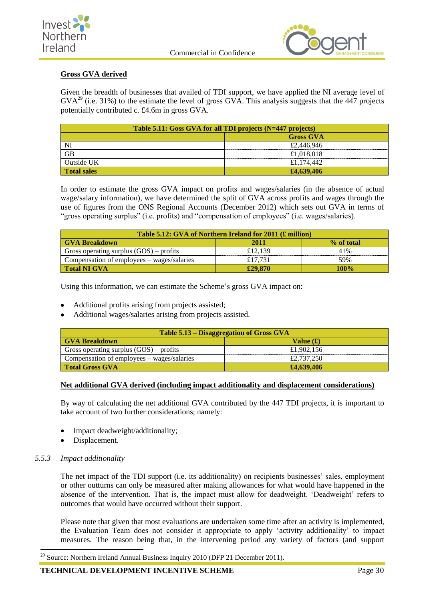



## **Gross GVA derived**

Given the breadth of businesses that availed of TDI support, we have applied the NI average level of  $GVA<sup>29</sup>$  (i.e. 31%) to the estimate the level of gross  $GVA$ . This analysis suggests that the 447 projects potentially contributed c. £4.6m in gross GVA.

| Table 5.11: Goss GVA for all TDI projects (N=447 projects) |                  |  |
|------------------------------------------------------------|------------------|--|
|                                                            | <b>Gross GVA</b> |  |
| NI                                                         | £2,446,946       |  |
| <b>GB</b>                                                  | £1,018,018       |  |
| Outside UK                                                 | £1.174.442       |  |
| <b>Total sales</b>                                         | £4,639,406       |  |

In order to estimate the gross GVA impact on profits and wages/salaries (in the absence of actual wage/salary information), we have determined the split of GVA across profits and wages through the use of figures from the ONS Regional Accounts (December 2012) which sets out GVA in terms of "gross operating surplus" (i.e. profits) and "compensation of employees" (i.e. wages/salaries).

| Table 5.12: GVA of Northern Ireland for 2011 (£ million)     |         |     |  |
|--------------------------------------------------------------|---------|-----|--|
| 2011<br>% of total<br><b>GVA Breakdown</b>                   |         |     |  |
| Gross operating surplus $(GOS)$ – profits                    | £12.139 | 41% |  |
| Compensation of employees – wages/salaries<br>59%<br>£17.731 |         |     |  |
| £29,870<br><b>Total NI GVA</b><br>100%                       |         |     |  |

Using this information, we can estimate the Scheme's gross GVA impact on:

- Additional profits arising from projects assisted;
- Additional wages/salaries arising from projects assisted.

| Table 5.13 – Disaggregation of Gross GVA                 |            |  |
|----------------------------------------------------------|------------|--|
| <b>GVA Breakdown</b><br>Value $(f)$                      |            |  |
| Gross operating surplus $(GOS)$ – profits                | £1,902,156 |  |
| £2,737,250<br>Compensation of employees – wages/salaries |            |  |
| <b>Total Gross GVA</b><br>£4,639,406                     |            |  |

## **Net additional GVA derived (including impact additionality and displacement considerations)**

By way of calculating the net additional GVA contributed by the 447 TDI projects, it is important to take account of two further considerations; namely:

- Impact deadweight/additionality;
- Displacement.

## *5.5.3 Impact additionality*

1

The net impact of the TDI support (i.e. its additionality) on recipients businesses' sales, employment or other outturns can only be measured after making allowances for what would have happened in the absence of the intervention. That is, the impact must allow for deadweight. 'Deadweight' refers to outcomes that would have occurred without their support.

Please note that given that most evaluations are undertaken some time after an activity is implemented, the Evaluation Team does not consider it appropriate to apply 'activity additionality' to impact measures. The reason being that, in the intervening period any variety of factors (and support

 $^{29}$  Source: Northern Ireland Annual Business Inquiry 2010 (DFP 21 December 2011).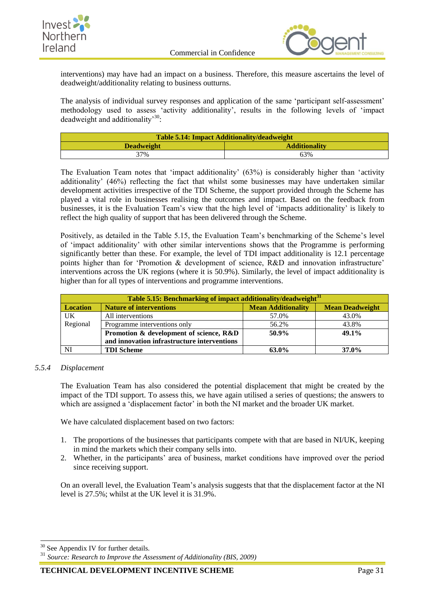



interventions) may have had an impact on a business. Therefore, this measure ascertains the level of deadweight/additionality relating to business outturns.

The analysis of individual survey responses and application of the same 'participant self-assessment' methodology used to assess 'activity additionality', results in the following levels of 'impact deadweight and additionality<sup>30</sup>:

| <b>Table 5.14: Impact Additionality/deadweight</b> |     |
|----------------------------------------------------|-----|
| <b>Additionality</b><br><b>Deadweight</b>          |     |
| 37%                                                | 63% |

The Evaluation Team notes that 'impact additionality' (63%) is considerably higher than 'activity additionality' (46%) reflecting the fact that whilst some businesses may have undertaken similar development activities irrespective of the TDI Scheme, the support provided through the Scheme has played a vital role in businesses realising the outcomes and impact. Based on the feedback from businesses, it is the Evaluation Team's view that the high level of 'impacts additionality' is likely to reflect the high quality of support that has been delivered through the Scheme.

Positively, as detailed in the Table 5.15, the Evaluation Team's benchmarking of the Scheme's level of 'impact additionality' with other similar interventions shows that the Programme is performing significantly better than these. For example, the level of TDI impact additionality is 12.1 percentage points higher than for 'Promotion & development of science, R&D and innovation infrastructure' interventions across the UK regions (where it is 50.9%). Similarly, the level of impact additionality is higher than for all types of interventions and programme interventions.

| Table 5.15: Benchmarking of impact additionality/deadweight <sup>31</sup> |                                                                                       |       |       |  |
|---------------------------------------------------------------------------|---------------------------------------------------------------------------------------|-------|-------|--|
| <b>Location</b>                                                           | <b>Mean Deadweight</b><br><b>Mean Additionality</b><br><b>Nature of interventions</b> |       |       |  |
| UK                                                                        | All interventions                                                                     | 57.0% | 43.0% |  |
| Regional<br>43.8%<br>Programme interventions only<br>56.2%                |                                                                                       |       |       |  |
| 49.1%<br>50.9%<br>Promotion & development of science, R&D                 |                                                                                       |       |       |  |
| and innovation infrastructure interventions                               |                                                                                       |       |       |  |
|                                                                           | <b>TDI Scheme</b>                                                                     | 63.0% | 37.0% |  |

### *5.5.4 Displacement*

The Evaluation Team has also considered the potential displacement that might be created by the impact of the TDI support. To assess this, we have again utilised a series of questions; the answers to which are assigned a 'displacement factor' in both the NI market and the broader UK market.

We have calculated displacement based on two factors:

- 1. The proportions of the businesses that participants compete with that are based in NI/UK, keeping in mind the markets which their company sells into.
- 2. Whether, in the participants' area of business, market conditions have improved over the period since receiving support.

On an overall level, the Evaluation Team's analysis suggests that that the displacement factor at the NI level is 27.5%; whilst at the UK level it is 31.9%.

-

**TECHNICAL DEVELOPMENT INCENTIVE SCHEME** Page 31

 $30$  See Appendix IV for further details.

<sup>31</sup> *Source: Research to Improve the Assessment of Additionality (BIS, 2009)*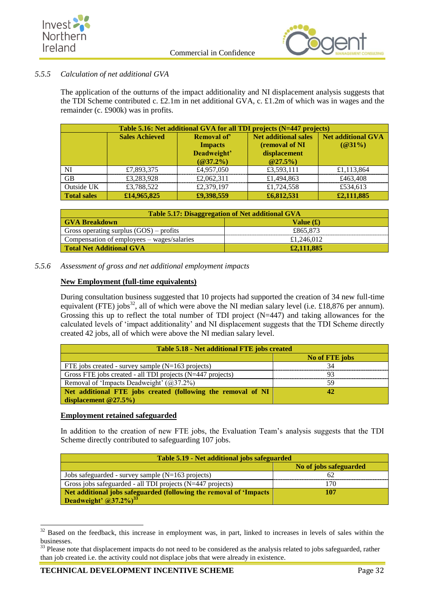



## *5.5.5 Calculation of net additional GVA*

The application of the outturns of the impact additionality and NI displacement analysis suggests that the TDI Scheme contributed c. £2.1m in net additional GVA, c. £1.2m of which was in wages and the remainder (c. £900k) was in profits.

| Table 5.16: Net additional GVA for all TDI projects (N=447 projects) |                       |                |                             |            |
|----------------------------------------------------------------------|-----------------------|----------------|-----------------------------|------------|
|                                                                      | <b>Sales Achieved</b> | Removal of     | <b>Net additional sales</b> |            |
|                                                                      |                       | <b>Impacts</b> | (removal of NI              | $(Q31\%)$  |
|                                                                      |                       | Deadweight'    | displacement                |            |
|                                                                      |                       | $(Q37.2\%)$    | $@27.5\%$                   |            |
| N <sub>I</sub>                                                       | £7,893,375            | £4,957,050     | £3,593,111                  | £1,113,864 |
| <b>GB</b><br>£1,494,863<br>£3,283,928<br>£2,062,311<br>£463,408      |                       |                |                             |            |
| Outside UK                                                           | £3,788,522            | £2,379,197     | £1,724,558                  | £534,613   |
| <b>Total sales</b>                                                   | £14,965,825           | £9,398,559     | £6,812,531                  | £2,111,885 |

| Table 5.17: Disaggregation of Net additional GVA         |          |
|----------------------------------------------------------|----------|
| <b>GVA Breakdown</b><br>Value $(f)$                      |          |
| Gross operating surplus $(GOS)$ – profits                | £865,873 |
| Compensation of employees – wages/salaries<br>£1,246,012 |          |
| £2,111,885<br>Total Net Additional GVA                   |          |

*5.5.6 Assessment of gross and net additional employment impacts*

## **New Employment (full-time equivalents)**

During consultation business suggested that 10 projects had supported the creation of 34 new full-time equivalent (FTE) jobs<sup>32</sup>, all of which were above the NI median salary level (i.e. £18,876 per annum). Grossing this up to reflect the total number of TDI project (N=447) and taking allowances for the calculated levels of 'impact additionality' and NI displacement suggests that the TDI Scheme directly created 42 jobs, all of which were above the NI median salary level.

| Table 5.18 - Net additional FTE jobs created                 |                |  |
|--------------------------------------------------------------|----------------|--|
|                                                              | No of FTE jobs |  |
| FTE jobs created - survey sample $(N=163 \text{ projects})$  |                |  |
| Gross FTE jobs created - all TDI projects (N=447 projects)   |                |  |
| Removal of 'Impacts Deadweight' $(@37.2\%)$                  |                |  |
| Net additional FTE jobs created (following the removal of NI |                |  |
| displacement $@27.5\%$ )                                     |                |  |

## **Employment retained safeguarded**

In addition to the creation of new FTE jobs, the Evaluation Team's analysis suggests that the TDI Scheme directly contributed to safeguarding 107 jobs.

| Table 5.19 - Net additional jobs safeguarded                               |  |
|----------------------------------------------------------------------------|--|
| No of jobs safeguarded                                                     |  |
| Jobs safeguarded - survey sample $(N=163 \text{ projects})$                |  |
| Gross jobs safeguarded - all TDI projects (N=447 projects)<br>70           |  |
| Net additional jobs safeguarded (following the removal of 'Impacts'<br>107 |  |
| Deadweight' $(a)37.2\%$ <sup>33</sup>                                      |  |

<sup>1</sup>  $32$  Based on the feedback, this increase in employment was, in part, linked to increases in levels of sales within the businesses.

<sup>&</sup>lt;sup>33</sup> Please note that displacement impacts do not need to be considered as the analysis related to jobs safeguarded, rather than job created i.e. the activity could not displace jobs that were already in existence.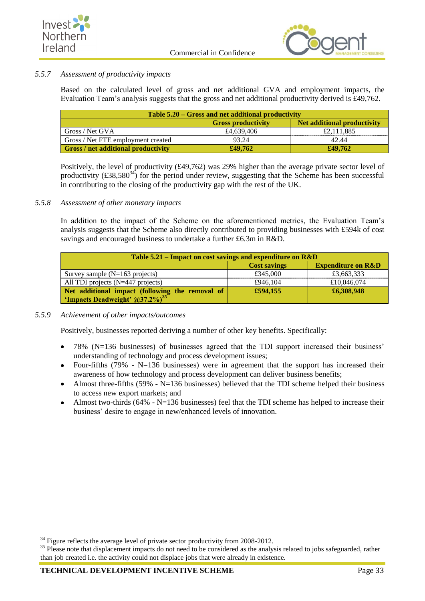



## *5.5.7 Assessment of productivity impacts*

Based on the calculated level of gross and net additional GVA and employment impacts, the Evaluation Team's analysis suggests that the gross and net additional productivity derived is £49,762.

| Table 5.20 – Gross and net additional productivity               |            |            |  |
|------------------------------------------------------------------|------------|------------|--|
| <b>Net additional productivity</b><br><b>Gross productivity</b>  |            |            |  |
| Gross / Net GVA                                                  | £4,639,406 | £2,111,885 |  |
| Gross / Net FTE employment created<br>93.24<br>42.44             |            |            |  |
| <b>Gross</b> / net additional productivity<br>£49,762<br>£49,762 |            |            |  |

Positively, the level of productivity (£49,762) was 29% higher than the average private sector level of productivity  $(\text{\textsterling}38,580^{34})$  for the period under review, suggesting that the Scheme has been successful in contributing to the closing of the productivity gap with the rest of the UK.

## *5.5.8 Assessment of other monetary impacts*

In addition to the impact of the Scheme on the aforementioned metrics, the Evaluation Team's analysis suggests that the Scheme also directly contributed to providing businesses with £594k of cost savings and encouraged business to undertake a further £6.3m in R&D.

| Table 5.21 – Impact on cost savings and expenditure on R&D                |          |            |  |
|---------------------------------------------------------------------------|----------|------------|--|
| <b>Expenditure on R&amp;D</b><br><b>Cost savings</b>                      |          |            |  |
| Survey sample $(N=163$ projects)                                          | £345,000 | £3,663,333 |  |
| £10,046,074<br>All TDI projects $(N=447$ projects)<br>£946,104            |          |            |  |
| £6,308,948<br>£594,155<br>Net additional impact (following the removal of |          |            |  |
| 'Impacts Deadweight' @37.2%) <sup>35</sup>                                |          |            |  |

## *5.5.9 Achievement of other impacts/outcomes*

Positively, businesses reported deriving a number of other key benefits. Specifically:

- 78% (N=136 businesses) of businesses agreed that the TDI support increased their business' understanding of technology and process development issues;
- Four-fifths  $(79\% N=136$  businesses) were in agreement that the support has increased their  $\bullet$ awareness of how technology and process development can deliver business benefits;
- Almost three-fifths  $(59\% N=136$  businesses) believed that the TDI scheme helped their business  $\bullet$ to access new export markets; and
- Almost two-thirds (64% N=136 businesses) feel that the TDI scheme has helped to increase their business' desire to engage in new/enhanced levels of innovation.

1

 $34$  Figure reflects the average level of private sector productivity from 2008-2012.

<sup>&</sup>lt;sup>35</sup> Please note that displacement impacts do not need to be considered as the analysis related to jobs safeguarded, rather than job created i.e. the activity could not displace jobs that were already in existence.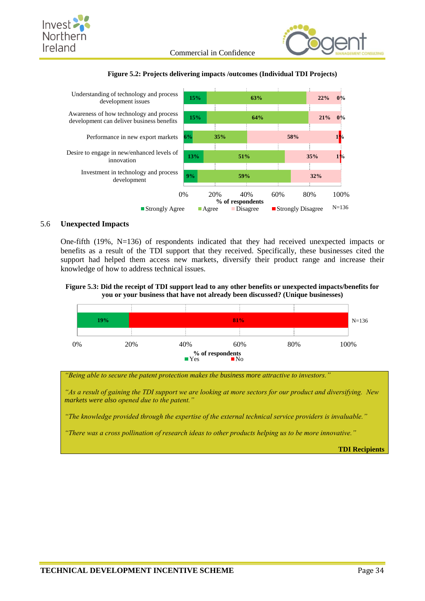







## <span id="page-41-0"></span>5.6 **Unexpected Impacts**

One-fifth (19%, N=136) of respondents indicated that they had received unexpected impacts or benefits as a result of the TDI support that they received. Specifically, these businesses cited the support had helped them access new markets, diversify their product range and increase their knowledge of how to address technical issues.





*"Being able to secure the patent protection makes the business more attractive to investors."*

*"As a result of gaining the TDI support we are looking at more sectors for our product and diversifying. New markets were also opened due to the patent."*

*"The knowledge provided through the expertise of the external technical service providers is invaluable."*

*"There was a cross pollination of research ideas to other products helping us to be more innovative."*

**TDI Recipients**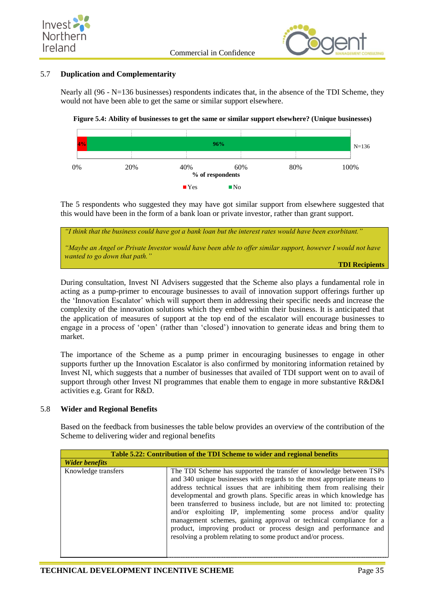



## <span id="page-42-0"></span>5.7 **Duplication and Complementarity**

Nearly all (96 - N=136 businesses) respondents indicates that, in the absence of the TDI Scheme, they would not have been able to get the same or similar support elsewhere.





The 5 respondents who suggested they may have got similar support from elsewhere suggested that this would have been in the form of a bank loan or private investor, rather than grant support.

| "I think that the business could have got a bank loan but the interest rates would have been exorbitant."<br>"Maybe an Angel or Private Investor would have been able to offer similar support, however I would not have<br>wanted to go down that path." |
|-----------------------------------------------------------------------------------------------------------------------------------------------------------------------------------------------------------------------------------------------------------|
|                                                                                                                                                                                                                                                           |
|                                                                                                                                                                                                                                                           |

During consultation, Invest NI Advisers suggested that the Scheme also plays a fundamental role in acting as a pump-primer to encourage businesses to avail of innovation support offerings further up the 'Innovation Escalator' which will support them in addressing their specific needs and increase the complexity of the innovation solutions which they embed within their business. It is anticipated that the application of measures of support at the top end of the escalator will encourage businesses to engage in a process of 'open' (rather than 'closed') innovation to generate ideas and bring them to market.

The importance of the Scheme as a pump primer in encouraging businesses to engage in other supports further up the Innovation Escalator is also confirmed by monitoring information retained by Invest NI, which suggests that a number of businesses that availed of TDI support went on to avail of support through other Invest NI programmes that enable them to engage in more substantive R&D&I activities e.g. Grant for R&D.

### <span id="page-42-1"></span>5.8 **Wider and Regional Benefits**

Based on the feedback from businesses the table below provides an overview of the contribution of the Scheme to delivering wider and regional benefits

| Table 5.22: Contribution of the TDI Scheme to wider and regional benefits |                                                                                                                                                                                                                                                                                                                                                                                                                                                                                                                                                                                                                                                           |
|---------------------------------------------------------------------------|-----------------------------------------------------------------------------------------------------------------------------------------------------------------------------------------------------------------------------------------------------------------------------------------------------------------------------------------------------------------------------------------------------------------------------------------------------------------------------------------------------------------------------------------------------------------------------------------------------------------------------------------------------------|
| <b>Wider benefits</b>                                                     |                                                                                                                                                                                                                                                                                                                                                                                                                                                                                                                                                                                                                                                           |
| Knowledge transfers                                                       | The TDI Scheme has supported the transfer of knowledge between TSPs<br>and 340 unique businesses with regards to the most appropriate means to<br>address technical issues that are inhibiting them from realising their<br>developmental and growth plans. Specific areas in which knowledge has<br>been transferred to business include, but are not limited to: protecting<br>and/or exploiting IP, implementing some process and/or quality<br>management schemes, gaining approval or technical compliance for a<br>product, improving product or process design and performance and<br>resolving a problem relating to some product and/or process. |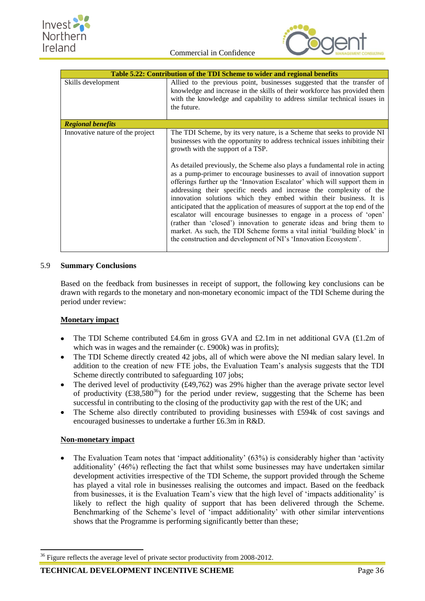

|                                  | Table 5.22: Contribution of the TDI Scheme to wider and regional benefits                                                                                                                                                                                                                                                                                                                                                                                                                                                                                                                                                                                                                                                                                                                                                                                                                                                                                           |
|----------------------------------|---------------------------------------------------------------------------------------------------------------------------------------------------------------------------------------------------------------------------------------------------------------------------------------------------------------------------------------------------------------------------------------------------------------------------------------------------------------------------------------------------------------------------------------------------------------------------------------------------------------------------------------------------------------------------------------------------------------------------------------------------------------------------------------------------------------------------------------------------------------------------------------------------------------------------------------------------------------------|
| Skills development               | Allied to the previous point, businesses suggested that the transfer of<br>knowledge and increase in the skills of their workforce has provided them<br>with the knowledge and capability to address similar technical issues in<br>the future.                                                                                                                                                                                                                                                                                                                                                                                                                                                                                                                                                                                                                                                                                                                     |
| <b>Regional benefits</b>         |                                                                                                                                                                                                                                                                                                                                                                                                                                                                                                                                                                                                                                                                                                                                                                                                                                                                                                                                                                     |
| Innovative nature of the project | The TDI Scheme, by its very nature, is a Scheme that seeks to provide NI<br>businesses with the opportunity to address technical issues inhibiting their<br>growth with the support of a TSP.<br>As detailed previously, the Scheme also plays a fundamental role in acting<br>as a pump-primer to encourage businesses to avail of innovation support<br>offerings further up the 'Innovation Escalator' which will support them in<br>addressing their specific needs and increase the complexity of the<br>innovation solutions which they embed within their business. It is<br>anticipated that the application of measures of support at the top end of the<br>escalator will encourage businesses to engage in a process of 'open'<br>(rather than 'closed') innovation to generate ideas and bring them to<br>market. As such, the TDI Scheme forms a vital initial 'building block' in<br>the construction and development of NI's 'Innovation Ecosystem'. |

## <span id="page-43-0"></span>5.9 **Summary Conclusions**

Based on the feedback from businesses in receipt of support, the following key conclusions can be drawn with regards to the monetary and non-monetary economic impact of the TDI Scheme during the period under review:

## **Monetary impact**

- The TDI Scheme contributed £4.6m in gross GVA and £2.1m in net additional GVA (£1.2m of which was in wages and the remainder (c. £900k) was in profits);
- The TDI Scheme directly created 42 jobs, all of which were above the NI median salary level. In  $\bullet$ addition to the creation of new FTE jobs, the Evaluation Team's analysis suggests that the TDI Scheme directly contributed to safeguarding 107 jobs;
- The derived level of productivity (£49,762) was 29% higher than the average private sector level of productivity  $(\text{\textsterling}38,580^{36})$  for the period under review, suggesting that the Scheme has been successful in contributing to the closing of the productivity gap with the rest of the UK; and
- The Scheme also directly contributed to providing businesses with £594k of cost savings and  $\bullet$ encouraged businesses to undertake a further £6.3m in R&D.

### **Non-monetary impact**

1

The Evaluation Team notes that 'impact additionality' (63%) is considerably higher than 'activity additionality' (46%) reflecting the fact that whilst some businesses may have undertaken similar development activities irrespective of the TDI Scheme, the support provided through the Scheme has played a vital role in businesses realising the outcomes and impact. Based on the feedback from businesses, it is the Evaluation Team's view that the high level of 'impacts additionality' is likely to reflect the high quality of support that has been delivered through the Scheme. Benchmarking of the Scheme's level of 'impact additionality' with other similar interventions shows that the Programme is performing significantly better than these;

<sup>&</sup>lt;sup>36</sup> Figure reflects the average level of private sector productivity from 2008-2012.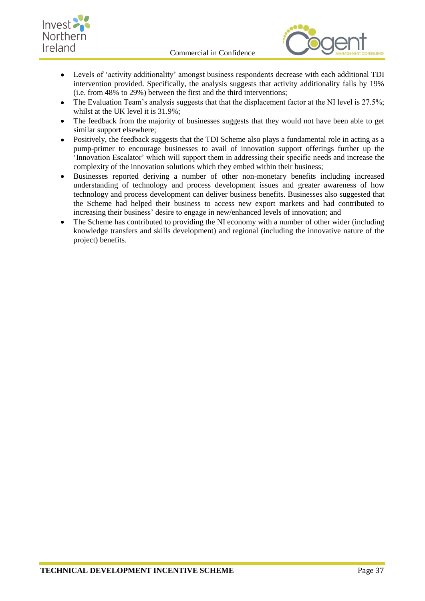





- Levels of 'activity additionality' amongst business respondents decrease with each additional TDI  $\bullet$ intervention provided. Specifically, the analysis suggests that activity additionality falls by 19% (i.e. from 48% to 29%) between the first and the third interventions;
- The Evaluation Team's analysis suggests that that the displacement factor at the NI level is 27.5%;  $\bullet$ whilst at the UK level it is 31.9%;
- The feedback from the majority of businesses suggests that they would not have been able to get similar support elsewhere;
- Positively, the feedback suggests that the TDI Scheme also plays a fundamental role in acting as a  $\bullet$ pump-primer to encourage businesses to avail of innovation support offerings further up the 'Innovation Escalator' which will support them in addressing their specific needs and increase the complexity of the innovation solutions which they embed within their business;
- Businesses reported deriving a number of other non-monetary benefits including increased understanding of technology and process development issues and greater awareness of how technology and process development can deliver business benefits. Businesses also suggested that the Scheme had helped their business to access new export markets and had contributed to increasing their business' desire to engage in new/enhanced levels of innovation; and
- The Scheme has contributed to providing the NI economy with a number of other wider (including knowledge transfers and skills development) and regional (including the innovative nature of the project) benefits.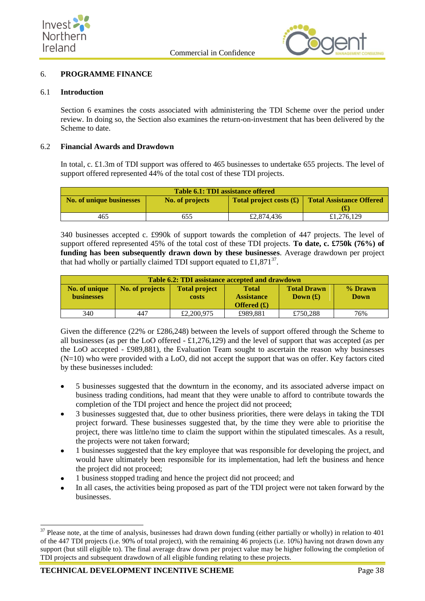



### <span id="page-45-0"></span>6. **PROGRAMME FINANCE**

### <span id="page-45-1"></span>6.1 **Introduction**

Section 6 examines the costs associated with administering the TDI Scheme over the period under review. In doing so, the Section also examines the return-on-investment that has been delivered by the Scheme to date.

#### <span id="page-45-2"></span>6.2 **Financial Awards and Drawdown**

In total, c. £1.3m of TDI support was offered to 465 businesses to undertake 655 projects. The level of support offered represented 44% of the total cost of these TDI projects.

| Table 6.1: TDI assistance offered |                 |                                                            |                                 |  |  |
|-----------------------------------|-----------------|------------------------------------------------------------|---------------------------------|--|--|
| No. of unique businesses          | No. of projects | <b>Total project costs <math>(\mathbf{\hat{f}})</math></b> | <b>Total Assistance Offered</b> |  |  |
|                                   |                 |                                                            |                                 |  |  |
| 465                               | 655             | £2,874,436                                                 | £1,276,129                      |  |  |

340 businesses accepted c. £990k of support towards the completion of 447 projects. The level of support offered represented 45% of the total cost of these TDI projects. **To date, c. £750k (76%) of funding has been subsequently drawn down by these businesses**. Average drawdown per project that had wholly or partially claimed TDI support equated to £1,871 $37$ .

| <b>Table 6.2: TDI assistance accepted and drawdown</b> |                 |                                      |                                                           |                                  |                 |  |
|--------------------------------------------------------|-----------------|--------------------------------------|-----------------------------------------------------------|----------------------------------|-----------------|--|
| No. of unique<br><b>businesses</b>                     | No. of projects | <b>Total project</b><br><b>costs</b> | <b>Total</b><br><b>Assistance</b><br><b>Offered</b> $(f)$ | <b>Total Drawn</b><br>Down $(f)$ | % Drawn<br>Down |  |
| 340                                                    | 447             | £2,200,975                           | £989,881                                                  | £750,288                         | 76%             |  |

Given the difference (22% or £286,248) between the levels of support offered through the Scheme to all businesses (as per the LoO offered - £1,276,129) and the level of support that was accepted (as per the LoO accepted - £989,881), the Evaluation Team sought to ascertain the reason why businesses (N=10) who were provided with a LoO, did not accept the support that was on offer. Key factors cited by these businesses included:

- 5 businesses suggested that the downturn in the economy, and its associated adverse impact on business trading conditions, had meant that they were unable to afford to contribute towards the completion of the TDI project and hence the project did not proceed;
- 3 businesses suggested that, due to other business priorities, there were delays in taking the TDI project forward. These businesses suggested that, by the time they were able to prioritise the project, there was little/no time to claim the support within the stipulated timescales. As a result, the projects were not taken forward;
- 1 businesses suggested that the key employee that was responsible for developing the project, and would have ultimately been responsible for its implementation, had left the business and hence the project did not proceed;
- 1 business stopped trading and hence the project did not proceed; and
- In all cases, the activities being proposed as part of the TDI project were not taken forward by the businesses.

1

 $37$  Please note, at the time of analysis, businesses had drawn down funding (either partially or wholly) in relation to 401 of the 447 TDI projects (i.e. 90% of total project), with the remaining 46 projects (i.e. 10%) having not drawn down any support (but still eligible to). The final average draw down per project value may be higher following the completion of TDI projects and subsequent drawdown of all eligible funding relating to these projects.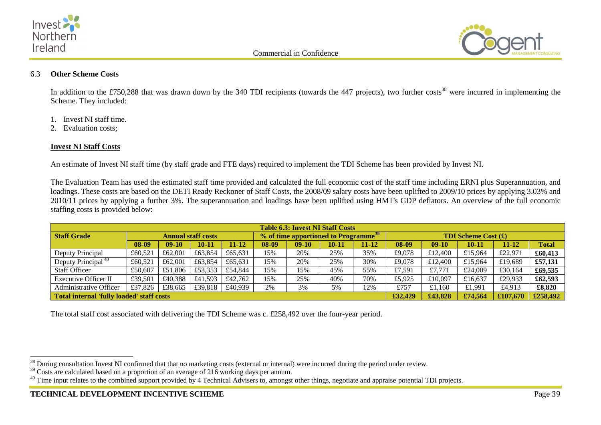



## 6.3 **Other Scheme Costs**

In addition to the £750,288 that was drawn down by the 340 TDI recipients (towards the 447 projects), two further costs<sup>38</sup> were incurred in implementing the Scheme. They included:

- 1. Invest NI staff time.
- 2. Evaluation costs;

## **Invest NI Staff Costs**

An estimate of Invest NI staff time (by staff grade and FTE days) required to implement the TDI Scheme has been provided by Invest NI.

The Evaluation Team has used the estimated staff time provided and calculated the full economic cost of the staff time including ERNI plus Superannuation, and loadings. These costs are based on the DETI Ready Reckoner of Staff Costs, the 2008/09 salary costs have been uplifted to 2009/10 prices by applying 3.03% and 2010/11 prices by applying a further 3%. The superannuation and loadings have been uplifted using HMT's GDP deflators. An overview of the full economic staffing costs is provided below:

<span id="page-46-0"></span>

| <b>Table 6.3: Invest NI Staff Costs</b>   |                           |         |           |                                                  |         |         |           |                                                        |          |         |         |           |              |
|-------------------------------------------|---------------------------|---------|-----------|--------------------------------------------------|---------|---------|-----------|--------------------------------------------------------|----------|---------|---------|-----------|--------------|
| <b>Staff Grade</b>                        | <b>Annual staff costs</b> |         |           | % of time apportioned to Programme <sup>39</sup> |         |         |           | <b>TDI Scheme Cost <math>(\mathbf{\pounds})</math></b> |          |         |         |           |              |
|                                           | 08-09                     | $09-10$ | $10 - 11$ | $11 - 12$                                        | 08-09   | $09-10$ | $10 - 11$ | $11 - 12$                                              | $08-09$  | $09-10$ | 10-11   | $11 - 12$ | <b>Total</b> |
| Deputy Principal                          | £60,521                   | £62,001 | £63,854   | £65,631                                          | 15%     | 20%     | 25%       | 35%                                                    | £9,078   | £12,400 | £15,964 | £22,971   | £60,413      |
| Deputy Principal <sup>40</sup>            | £60,521                   | £62,001 | £63.854   | £65.631                                          | 15%     | 20%     | 25%       | 30%                                                    | £9,078   | £12,400 | £15,964 | £19,689   | £57,131      |
| <b>Staff Officer</b>                      | £50,607                   | £51,806 | £53,353   | £54,844                                          | 15%     | 15%     | 45%       | 55%                                                    | £7,591   | £7.771  | £24,009 | £30,164   | £69,535      |
| <b>Executive Officer II</b>               | £39,501                   | £40.388 | £41.593   | £42,762                                          | 15%     | 25%     | 40%       | 70%                                                    | £5,925   | £10,097 | £16.637 | £29,933   | £62,593      |
| Administrative Officer                    | £37,826                   | £38,665 | £39,818   | £40.939                                          | 2%      | 3%      | 5%        | 12%                                                    | £757     | £1.160  | £1.991  | £4,913    | £8,820       |
| Total internal 'fully loaded' staff costs |                           |         |           |                                                  | £32,429 | £43,828 | £74.564   | £107.670                                               | £258,492 |         |         |           |              |

The total staff cost associated with delivering the TDI Scheme was c. £258,492 over the four-year period.

l  $38$  During consultation Invest NI confirmed that that no marketing costs (external or internal) were incurred during the period under review.

 $39$  Costs are calculated based on a proportion of an average of 216 working days per annum.

<sup>&</sup>lt;sup>40</sup> Time input relates to the combined support provided by 4 Technical Advisers to, amongst other things, negotiate and appraise potential TDI projects.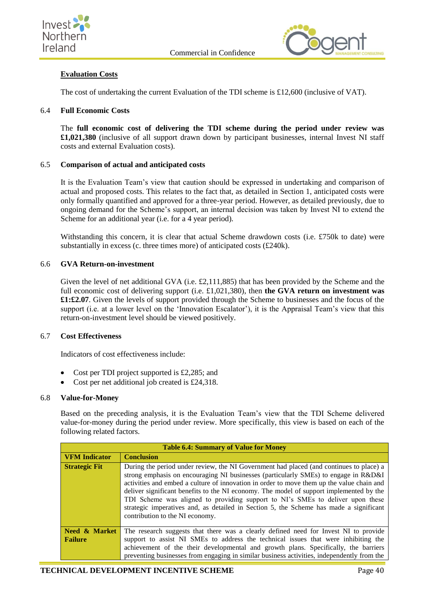



## **Evaluation Costs**

The cost of undertaking the current Evaluation of the TDI scheme is £12,600 (inclusive of VAT).

### <span id="page-47-0"></span>6.4 **Full Economic Costs**

The **full economic cost of delivering the TDI scheme during the period under review was £1,021,380** (inclusive of all support drawn down by participant businesses, internal Invest NI staff costs and external Evaluation costs).

## <span id="page-47-1"></span>6.5 **Comparison of actual and anticipated costs**

It is the Evaluation Team's view that caution should be expressed in undertaking and comparison of actual and proposed costs. This relates to the fact that, as detailed in Section 1, anticipated costs were only formally quantified and approved for a three-year period. However, as detailed previously, due to ongoing demand for the Scheme's support, an internal decision was taken by Invest NI to extend the Scheme for an additional year (i.e. for a 4 year period).

Withstanding this concern, it is clear that actual Scheme drawdown costs (i.e. £750k to date) were substantially in excess (c. three times more) of anticipated costs (£240k).

## <span id="page-47-2"></span>6.6 **GVA Return-on-investment**

Given the level of net additional GVA (i.e. £2,111,885) that has been provided by the Scheme and the full economic cost of delivering support (i.e. £1,021,380), then **the GVA return on investment was £1:£2.07**. Given the levels of support provided through the Scheme to businesses and the focus of the support (i.e. at a lower level on the 'Innovation Escalator'), it is the Appraisal Team's view that this return-on-investment level should be viewed positively.

### <span id="page-47-3"></span>6.7 **Cost Effectiveness**

Indicators of cost effectiveness include:

- Cost per TDI project supported is £2,285; and
- Cost per net additional job created is £24,318.

### <span id="page-47-4"></span>6.8 **Value-for-Money**

Based on the preceding analysis, it is the Evaluation Team's view that the TDI Scheme delivered value-for-money during the period under review. More specifically, this view is based on each of the following related factors.

|                                            | <b>Table 6.4: Summary of Value for Money</b>                                                                                                                                                                                                                                                                                                                                                                                                                                                                                                                                          |
|--------------------------------------------|---------------------------------------------------------------------------------------------------------------------------------------------------------------------------------------------------------------------------------------------------------------------------------------------------------------------------------------------------------------------------------------------------------------------------------------------------------------------------------------------------------------------------------------------------------------------------------------|
| <b>VFM</b> Indicator                       | <b>Conclusion</b>                                                                                                                                                                                                                                                                                                                                                                                                                                                                                                                                                                     |
| <b>Strategic Fit</b>                       | During the period under review, the NI Government had placed (and continues to place) a<br>strong emphasis on encouraging NI businesses (particularly SMEs) to engage in R&D&I<br>activities and embed a culture of innovation in order to move them up the value chain and<br>deliver significant benefits to the NI economy. The model of support implemented by the<br>TDI Scheme was aligned to providing support to NI's SMEs to deliver upon these<br>strategic imperatives and, as detailed in Section 5, the Scheme has made a significant<br>contribution to the NI economy. |
| <b>Need &amp; Market</b><br><b>Failure</b> | The research suggests that there was a clearly defined need for Invest NI to provide<br>support to assist NI SMEs to address the technical issues that were inhibiting the<br>achievement of the their developmental and growth plans. Specifically, the barriers<br>preventing businesses from engaging in similar business activities, independently from the                                                                                                                                                                                                                       |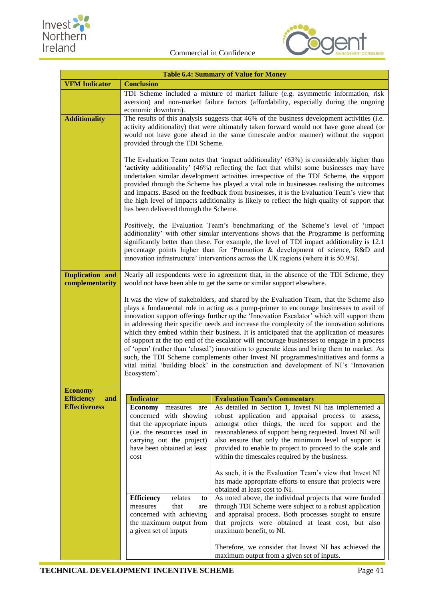



| <b>Table 6.4: Summary of Value for Money</b> |                                                                                                                                                                                                                                                                                                                                                                                                                                                                                                                                                                                                                                                                                                                                                                                                                                                                            |                                                                                                                                                                                                                                                                                                                                                                                                                                                                                                                                                                                                                 |  |  |  |  |  |
|----------------------------------------------|----------------------------------------------------------------------------------------------------------------------------------------------------------------------------------------------------------------------------------------------------------------------------------------------------------------------------------------------------------------------------------------------------------------------------------------------------------------------------------------------------------------------------------------------------------------------------------------------------------------------------------------------------------------------------------------------------------------------------------------------------------------------------------------------------------------------------------------------------------------------------|-----------------------------------------------------------------------------------------------------------------------------------------------------------------------------------------------------------------------------------------------------------------------------------------------------------------------------------------------------------------------------------------------------------------------------------------------------------------------------------------------------------------------------------------------------------------------------------------------------------------|--|--|--|--|--|
| <b>VFM</b> Indicator                         | <b>Conclusion</b>                                                                                                                                                                                                                                                                                                                                                                                                                                                                                                                                                                                                                                                                                                                                                                                                                                                          |                                                                                                                                                                                                                                                                                                                                                                                                                                                                                                                                                                                                                 |  |  |  |  |  |
|                                              | economic downturn).                                                                                                                                                                                                                                                                                                                                                                                                                                                                                                                                                                                                                                                                                                                                                                                                                                                        | TDI Scheme included a mixture of market failure (e.g. asymmetric information, risk<br>aversion) and non-market failure factors (affordability, especially during the ongoing                                                                                                                                                                                                                                                                                                                                                                                                                                    |  |  |  |  |  |
| <b>Additionality</b>                         | The results of this analysis suggests that 46% of the business development activities (i.e.<br>activity additionality) that were ultimately taken forward would not have gone ahead (or<br>would not have gone ahead in the same timescale and/or manner) without the support<br>provided through the TDI Scheme.                                                                                                                                                                                                                                                                                                                                                                                                                                                                                                                                                          |                                                                                                                                                                                                                                                                                                                                                                                                                                                                                                                                                                                                                 |  |  |  |  |  |
|                                              |                                                                                                                                                                                                                                                                                                                                                                                                                                                                                                                                                                                                                                                                                                                                                                                                                                                                            | The Evaluation Team notes that 'impact additionality' (63%) is considerably higher than<br>'activity additionality' (46%) reflecting the fact that whilst some businesses may have<br>undertaken similar development activities irrespective of the TDI Scheme, the support<br>provided through the Scheme has played a vital role in businesses realising the outcomes<br>and impacts. Based on the feedback from businesses, it is the Evaluation Team's view that<br>the high level of impacts additionality is likely to reflect the high quality of support that<br>has been delivered through the Scheme. |  |  |  |  |  |
|                                              |                                                                                                                                                                                                                                                                                                                                                                                                                                                                                                                                                                                                                                                                                                                                                                                                                                                                            | Positively, the Evaluation Team's benchmarking of the Scheme's level of 'impact<br>additionality' with other similar interventions shows that the Programme is performing<br>significantly better than these. For example, the level of TDI impact additionality is 12.1<br>percentage points higher than for 'Promotion & development of science, R&D and<br>innovation infrastructure' interventions across the UK regions (where it is 50.9%).                                                                                                                                                               |  |  |  |  |  |
| Duplication and<br>complementarity           | Nearly all respondents were in agreement that, in the absence of the TDI Scheme, they<br>would not have been able to get the same or similar support elsewhere.                                                                                                                                                                                                                                                                                                                                                                                                                                                                                                                                                                                                                                                                                                            |                                                                                                                                                                                                                                                                                                                                                                                                                                                                                                                                                                                                                 |  |  |  |  |  |
|                                              | It was the view of stakeholders, and shared by the Evaluation Team, that the Scheme also<br>plays a fundamental role in acting as a pump-primer to encourage businesses to avail of<br>innovation support offerings further up the 'Innovation Escalator' which will support them<br>in addressing their specific needs and increase the complexity of the innovation solutions<br>which they embed within their business. It is anticipated that the application of measures<br>of support at the top end of the escalator will encourage businesses to engage in a process<br>of 'open' (rather than 'closed') innovation to generate ideas and bring them to market. As<br>such, the TDI Scheme complements other Invest NI programmes/initiatives and forms a<br>vital initial 'building block' in the construction and development of NI's 'Innovation<br>Ecosystem'. |                                                                                                                                                                                                                                                                                                                                                                                                                                                                                                                                                                                                                 |  |  |  |  |  |
| <b>Economy</b>                               |                                                                                                                                                                                                                                                                                                                                                                                                                                                                                                                                                                                                                                                                                                                                                                                                                                                                            |                                                                                                                                                                                                                                                                                                                                                                                                                                                                                                                                                                                                                 |  |  |  |  |  |
| <b>Efficiency</b><br>and                     | <b>Indicator</b>                                                                                                                                                                                                                                                                                                                                                                                                                                                                                                                                                                                                                                                                                                                                                                                                                                                           | <b>Evaluation Team's Commentary</b>                                                                                                                                                                                                                                                                                                                                                                                                                                                                                                                                                                             |  |  |  |  |  |
| <b>Effectiveness</b>                         | <b>Economy</b> measures<br>are<br>concerned with showing<br>that the appropriate inputs<br>(i.e. the resources used in<br>carrying out the project)<br>have been obtained at least<br>cost                                                                                                                                                                                                                                                                                                                                                                                                                                                                                                                                                                                                                                                                                 | As detailed in Section 1, Invest NI has implemented a<br>robust application and appraisal process to assess,<br>amongst other things, the need for support and the<br>reasonableness of support being requested. Invest NI will<br>also ensure that only the minimum level of support is<br>provided to enable to project to proceed to the scale and<br>within the timescales required by the business.<br>As such, it is the Evaluation Team's view that Invest NI                                                                                                                                            |  |  |  |  |  |
|                                              |                                                                                                                                                                                                                                                                                                                                                                                                                                                                                                                                                                                                                                                                                                                                                                                                                                                                            | has made appropriate efforts to ensure that projects were<br>obtained at least cost to NI.                                                                                                                                                                                                                                                                                                                                                                                                                                                                                                                      |  |  |  |  |  |
|                                              | <b>Efficiency</b><br>relates<br>to<br>that<br>measures<br>are<br>concerned with achieving<br>the maximum output from<br>a given set of inputs                                                                                                                                                                                                                                                                                                                                                                                                                                                                                                                                                                                                                                                                                                                              | As noted above, the individual projects that were funded<br>through TDI Scheme were subject to a robust application<br>and appraisal process. Both processes sought to ensure<br>that projects were obtained at least cost, but also<br>maximum benefit, to NI.                                                                                                                                                                                                                                                                                                                                                 |  |  |  |  |  |
|                                              |                                                                                                                                                                                                                                                                                                                                                                                                                                                                                                                                                                                                                                                                                                                                                                                                                                                                            | Therefore, we consider that Invest NI has achieved the<br>maximum output from a given set of inputs.                                                                                                                                                                                                                                                                                                                                                                                                                                                                                                            |  |  |  |  |  |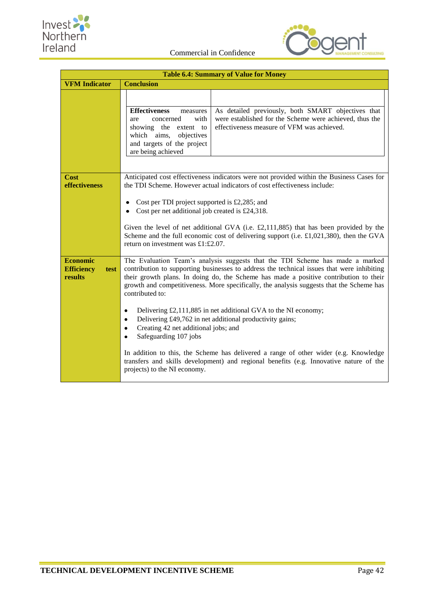



| <b>Table 6.4: Summary of Value for Money</b>            |                                                                                                                                                                                                                                                                                                                                                                                                                                                                                                                                                                                                                                                                                                                                                                                                                     |  |  |  |  |
|---------------------------------------------------------|---------------------------------------------------------------------------------------------------------------------------------------------------------------------------------------------------------------------------------------------------------------------------------------------------------------------------------------------------------------------------------------------------------------------------------------------------------------------------------------------------------------------------------------------------------------------------------------------------------------------------------------------------------------------------------------------------------------------------------------------------------------------------------------------------------------------|--|--|--|--|
| <b>VFM Indicator</b>                                    | <b>Conclusion</b>                                                                                                                                                                                                                                                                                                                                                                                                                                                                                                                                                                                                                                                                                                                                                                                                   |  |  |  |  |
|                                                         | <b>Effectiveness</b><br>As detailed previously, both SMART objectives that<br>measures<br>with<br>were established for the Scheme were achieved, thus the<br>concerned<br>are<br>effectiveness measure of VFM was achieved.<br>showing the<br>extent to<br>which aims,<br>objectives<br>and targets of the project<br>are being achieved                                                                                                                                                                                                                                                                                                                                                                                                                                                                            |  |  |  |  |
| <b>Cost</b><br>effectiveness                            | Anticipated cost effectiveness indicators were not provided within the Business Cases for<br>the TDI Scheme. However actual indicators of cost effectiveness include:<br>Cost per TDI project supported is $£2,285$ ; and<br>٠<br>Cost per net additional job created is £24,318.<br>Given the level of net additional GVA (i.e. $£2,111,885)$ that has been provided by the<br>Scheme and the full economic cost of delivering support (i.e. $£1,021,380$ ), then the GVA<br>return on investment was £1:£2.07.                                                                                                                                                                                                                                                                                                    |  |  |  |  |
| <b>Economic</b><br><b>Efficiency</b><br>test<br>results | The Evaluation Team's analysis suggests that the TDI Scheme has made a marked<br>contribution to supporting businesses to address the technical issues that were inhibiting<br>their growth plans. In doing do, the Scheme has made a positive contribution to their<br>growth and competitiveness. More specifically, the analysis suggests that the Scheme has<br>contributed to:<br>Delivering £2,111,885 in net additional GVA to the NI economy;<br>٠<br>Delivering £49,762 in net additional productivity gains;<br>٠<br>Creating 42 net additional jobs; and<br>٠<br>Safeguarding 107 jobs<br>In addition to this, the Scheme has delivered a range of other wider (e.g. Knowledge<br>transfers and skills development) and regional benefits (e.g. Innovative nature of the<br>projects) to the NI economy. |  |  |  |  |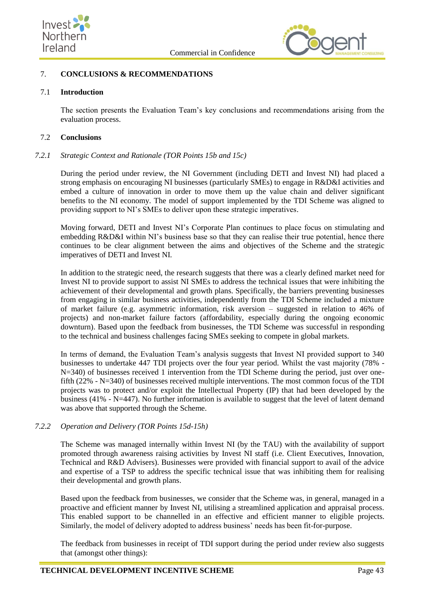



## <span id="page-50-0"></span>7. **CONCLUSIONS & RECOMMENDATIONS**

## <span id="page-50-1"></span>7.1 **Introduction**

The section presents the Evaluation Team's key conclusions and recommendations arising from the evaluation process.

#### <span id="page-50-2"></span>7.2 **Conclusions**

#### *7.2.1 Strategic Context and Rationale (TOR Points 15b and 15c)*

During the period under review, the NI Government (including DETI and Invest NI) had placed a strong emphasis on encouraging NI businesses (particularly SMEs) to engage in R&D&I activities and embed a culture of innovation in order to move them up the value chain and deliver significant benefits to the NI economy. The model of support implemented by the TDI Scheme was aligned to providing support to NI's SMEs to deliver upon these strategic imperatives.

Moving forward, DETI and Invest NI's Corporate Plan continues to place focus on stimulating and embedding R&D&I within NI's business base so that they can realise their true potential, hence there continues to be clear alignment between the aims and objectives of the Scheme and the strategic imperatives of DETI and Invest NI.

In addition to the strategic need, the research suggests that there was a clearly defined market need for Invest NI to provide support to assist NI SMEs to address the technical issues that were inhibiting the achievement of their developmental and growth plans. Specifically, the barriers preventing businesses from engaging in similar business activities, independently from the TDI Scheme included a mixture of market failure (e.g. asymmetric information, risk aversion – suggested in relation to 46% of projects) and non-market failure factors (affordability, especially during the ongoing economic downturn). Based upon the feedback from businesses, the TDI Scheme was successful in responding to the technical and business challenges facing SMEs seeking to compete in global markets.

In terms of demand, the Evaluation Team's analysis suggests that Invest NI provided support to 340 businesses to undertake 447 TDI projects over the four year period. Whilst the vast majority (78% - N=340) of businesses received 1 intervention from the TDI Scheme during the period, just over onefifth (22% - N=340) of businesses received multiple interventions. The most common focus of the TDI projects was to protect and/or exploit the Intellectual Property (IP) that had been developed by the business (41% - N=447). No further information is available to suggest that the level of latent demand was above that supported through the Scheme.

### *7.2.2 Operation and Delivery (TOR Points 15d-15h)*

The Scheme was managed internally within Invest NI (by the TAU) with the availability of support promoted through awareness raising activities by Invest NI staff (i.e. Client Executives, Innovation, Technical and R&D Advisers). Businesses were provided with financial support to avail of the advice and expertise of a TSP to address the specific technical issue that was inhibiting them for realising their developmental and growth plans.

Based upon the feedback from businesses, we consider that the Scheme was, in general, managed in a proactive and efficient manner by Invest NI, utilising a streamlined application and appraisal process. This enabled support to be channelled in an effective and efficient manner to eligible projects. Similarly, the model of delivery adopted to address business' needs has been fit-for-purpose.

The feedback from businesses in receipt of TDI support during the period under review also suggests that (amongst other things):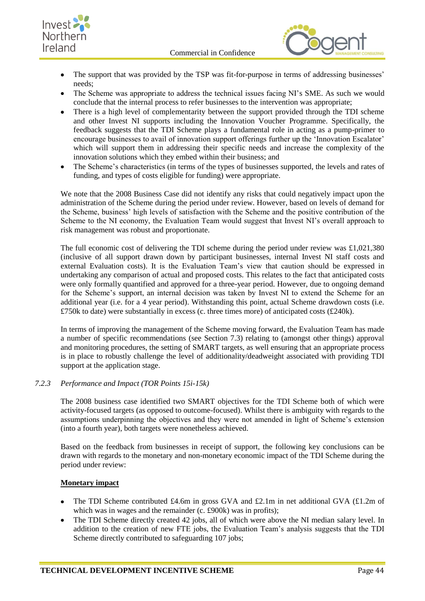



- The support that was provided by the TSP was fit-for-purpose in terms of addressing businesses' needs;
- The Scheme was appropriate to address the technical issues facing NI's SME. As such we would  $\bullet$ conclude that the internal process to refer businesses to the intervention was appropriate;
- There is a high level of complementarity between the support provided through the TDI scheme and other Invest NI supports including the Innovation Voucher Programme. Specifically, the feedback suggests that the TDI Scheme plays a fundamental role in acting as a pump-primer to encourage businesses to avail of innovation support offerings further up the 'Innovation Escalator' which will support them in addressing their specific needs and increase the complexity of the innovation solutions which they embed within their business; and
- The Scheme's characteristics (in terms of the types of businesses supported, the levels and rates of  $\bullet$ funding, and types of costs eligible for funding) were appropriate.

We note that the 2008 Business Case did not identify any risks that could negatively impact upon the administration of the Scheme during the period under review. However, based on levels of demand for the Scheme, business' high levels of satisfaction with the Scheme and the positive contribution of the Scheme to the NI economy, the Evaluation Team would suggest that Invest NI's overall approach to risk management was robust and proportionate.

The full economic cost of delivering the TDI scheme during the period under review was  $\text{\pounds}1,021,380$ (inclusive of all support drawn down by participant businesses, internal Invest NI staff costs and external Evaluation costs). It is the Evaluation Team's view that caution should be expressed in undertaking any comparison of actual and proposed costs. This relates to the fact that anticipated costs were only formally quantified and approved for a three-year period. However, due to ongoing demand for the Scheme's support, an internal decision was taken by Invest NI to extend the Scheme for an additional year (i.e. for a 4 year period). Withstanding this point, actual Scheme drawdown costs (i.e. £750k to date) were substantially in excess (c. three times more) of anticipated costs (£240k).

In terms of improving the management of the Scheme moving forward, the Evaluation Team has made a number of specific recommendations (see Section 7.3) relating to (amongst other things) approval and monitoring procedures, the setting of SMART targets, as well ensuring that an appropriate process is in place to robustly challenge the level of additionality/deadweight associated with providing TDI support at the application stage.

## *7.2.3 Performance and Impact (TOR Points 15i-15k)*

The 2008 business case identified two SMART objectives for the TDI Scheme both of which were activity-focused targets (as opposed to outcome-focused). Whilst there is ambiguity with regards to the assumptions underpinning the objectives and they were not amended in light of Scheme's extension (into a fourth year), both targets were nonetheless achieved.

Based on the feedback from businesses in receipt of support, the following key conclusions can be drawn with regards to the monetary and non-monetary economic impact of the TDI Scheme during the period under review:

### **Monetary impact**

- The TDI Scheme contributed £4.6m in gross GVA and £2.1m in net additional GVA (£1.2m of  $\bullet$ which was in wages and the remainder (c. £900k) was in profits);
- The TDI Scheme directly created 42 jobs, all of which were above the NI median salary level. In  $\bullet$ addition to the creation of new FTE jobs, the Evaluation Team's analysis suggests that the TDI Scheme directly contributed to safeguarding 107 jobs;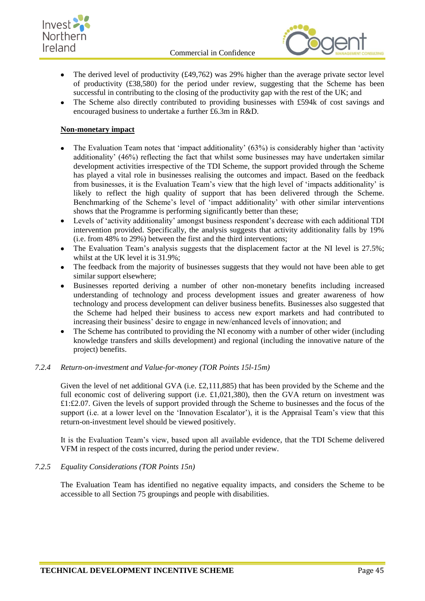



- The derived level of productivity (£49,762) was 29% higher than the average private sector level of productivity (£38,580) for the period under review, suggesting that the Scheme has been successful in contributing to the closing of the productivity gap with the rest of the UK; and
- The Scheme also directly contributed to providing businesses with £594k of cost savings and  $\bullet$ encouraged business to undertake a further £6.3m in R&D.

## **Non-monetary impact**

- The Evaluation Team notes that 'impact additionality' (63%) is considerably higher than 'activity additionality' (46%) reflecting the fact that whilst some businesses may have undertaken similar development activities irrespective of the TDI Scheme, the support provided through the Scheme has played a vital role in businesses realising the outcomes and impact. Based on the feedback from businesses, it is the Evaluation Team's view that the high level of 'impacts additionality' is likely to reflect the high quality of support that has been delivered through the Scheme. Benchmarking of the Scheme's level of 'impact additionality' with other similar interventions shows that the Programme is performing significantly better than these;
- Levels of 'activity additionality' amongst business respondent's decrease with each additional TDI  $\bullet$ intervention provided. Specifically, the analysis suggests that activity additionality falls by 19% (i.e. from 48% to 29%) between the first and the third interventions;
- The Evaluation Team's analysis suggests that the displacement factor at the NI level is 27.5%; whilst at the UK level it is 31.9%;
- The feedback from the majority of businesses suggests that they would not have been able to get similar support elsewhere;
- Businesses reported deriving a number of other non-monetary benefits including increased understanding of technology and process development issues and greater awareness of how technology and process development can deliver business benefits. Businesses also suggested that the Scheme had helped their business to access new export markets and had contributed to increasing their business' desire to engage in new/enhanced levels of innovation; and
- The Scheme has contributed to providing the NI economy with a number of other wider (including  $\bullet$ knowledge transfers and skills development) and regional (including the innovative nature of the project) benefits.

### *7.2.4 Return-on-investment and Value-for-money (TOR Points 15l-15m)*

Given the level of net additional GVA (i.e. £2,111,885) that has been provided by the Scheme and the full economic cost of delivering support (i.e.  $\pounds$ 1,021,380), then the GVA return on investment was  $£1:£2.07$ . Given the levels of support provided through the Scheme to businesses and the focus of the support (i.e. at a lower level on the 'Innovation Escalator'), it is the Appraisal Team's view that this return-on-investment level should be viewed positively.

It is the Evaluation Team's view, based upon all available evidence, that the TDI Scheme delivered VFM in respect of the costs incurred, during the period under review.

### *7.2.5 Equality Considerations (TOR Points 15n)*

The Evaluation Team has identified no negative equality impacts, and considers the Scheme to be accessible to all Section 75 groupings and people with disabilities.